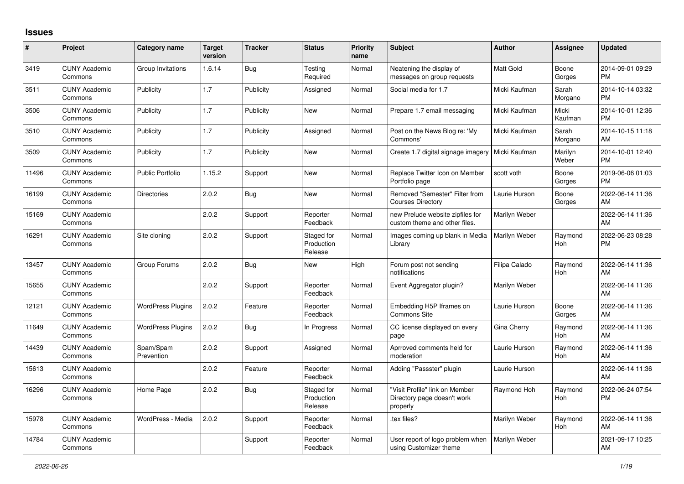## **Issues**

| #     | Project                         | <b>Category name</b>     | <b>Target</b><br>version | <b>Tracker</b> | <b>Status</b>                       | <b>Priority</b><br>name | <b>Subject</b>                                                            | <b>Author</b>    | <b>Assignee</b>  | <b>Updated</b>                |
|-------|---------------------------------|--------------------------|--------------------------|----------------|-------------------------------------|-------------------------|---------------------------------------------------------------------------|------------------|------------------|-------------------------------|
| 3419  | <b>CUNY Academic</b><br>Commons | Group Invitations        | 1.6.14                   | Bug            | Testing<br>Required                 | Normal                  | Neatening the display of<br>messages on group requests                    | <b>Matt Gold</b> | Boone<br>Gorges  | 2014-09-01 09:29<br><b>PM</b> |
| 3511  | <b>CUNY Academic</b><br>Commons | Publicity                | 1.7                      | Publicity      | Assigned                            | Normal                  | Social media for 1.7                                                      | Micki Kaufman    | Sarah<br>Morgano | 2014-10-14 03:32<br><b>PM</b> |
| 3506  | <b>CUNY Academic</b><br>Commons | Publicity                | 1.7                      | Publicity      | <b>New</b>                          | Normal                  | Prepare 1.7 email messaging                                               | Micki Kaufman    | Micki<br>Kaufman | 2014-10-01 12:36<br><b>PM</b> |
| 3510  | <b>CUNY Academic</b><br>Commons | Publicity                | 1.7                      | Publicity      | Assigned                            | Normal                  | Post on the News Blog re: 'My<br>Commons'                                 | Micki Kaufman    | Sarah<br>Morgano | 2014-10-15 11:18<br>AM        |
| 3509  | <b>CUNY Academic</b><br>Commons | Publicity                | 1.7                      | Publicity      | <b>New</b>                          | Normal                  | Create 1.7 digital signage imagery                                        | Micki Kaufman    | Marilyn<br>Weber | 2014-10-01 12:40<br><b>PM</b> |
| 11496 | <b>CUNY Academic</b><br>Commons | <b>Public Portfolio</b>  | 1.15.2                   | Support        | <b>New</b>                          | Normal                  | Replace Twitter Icon on Member<br>Portfolio page                          | scott voth       | Boone<br>Gorges  | 2019-06-06 01:03<br><b>PM</b> |
| 16199 | <b>CUNY Academic</b><br>Commons | <b>Directories</b>       | 2.0.2                    | <b>Bug</b>     | <b>New</b>                          | Normal                  | Removed "Semester" Filter from<br><b>Courses Directory</b>                | Laurie Hurson    | Boone<br>Gorges  | 2022-06-14 11:36<br>AM        |
| 15169 | <b>CUNY Academic</b><br>Commons |                          | 2.0.2                    | Support        | Reporter<br>Feedback                | Normal                  | new Prelude website zipfiles for<br>custom theme and other files.         | Marilyn Weber    |                  | 2022-06-14 11:36<br>AM        |
| 16291 | <b>CUNY Academic</b><br>Commons | Site cloning             | 2.0.2                    | Support        | Staged for<br>Production<br>Release | Normal                  | Images coming up blank in Media<br>Library                                | Marilyn Weber    | Raymond<br>Hoh   | 2022-06-23 08:28<br><b>PM</b> |
| 13457 | <b>CUNY Academic</b><br>Commons | Group Forums             | 2.0.2                    | Bug            | <b>New</b>                          | High                    | Forum post not sending<br>notifications                                   | Filipa Calado    | Raymond<br>Hoh   | 2022-06-14 11:36<br>AM        |
| 15655 | <b>CUNY Academic</b><br>Commons |                          | 2.0.2                    | Support        | Reporter<br>Feedback                | Normal                  | Event Aggregator plugin?                                                  | Marilyn Weber    |                  | 2022-06-14 11:36<br>AM        |
| 12121 | <b>CUNY Academic</b><br>Commons | <b>WordPress Plugins</b> | 2.0.2                    | Feature        | Reporter<br>Feedback                | Normal                  | Embedding H5P Iframes on<br><b>Commons Site</b>                           | Laurie Hurson    | Boone<br>Gorges  | 2022-06-14 11:36<br>AM        |
| 11649 | <b>CUNY Academic</b><br>Commons | <b>WordPress Plugins</b> | 2.0.2                    | Bug            | In Progress                         | Normal                  | CC license displayed on every<br>page                                     | Gina Cherry      | Raymond<br>Hoh   | 2022-06-14 11:36<br>AM        |
| 14439 | <b>CUNY Academic</b><br>Commons | Spam/Spam<br>Prevention  | 2.0.2                    | Support        | Assigned                            | Normal                  | Aprroved comments held for<br>moderation                                  | Laurie Hurson    | Raymond<br>Hoh   | 2022-06-14 11:36<br>AM        |
| 15613 | <b>CUNY Academic</b><br>Commons |                          | 2.0.2                    | Feature        | Reporter<br>Feedback                | Normal                  | Adding "Passster" plugin                                                  | Laurie Hurson    |                  | 2022-06-14 11:36<br>AM        |
| 16296 | <b>CUNY Academic</b><br>Commons | Home Page                | 2.0.2                    | Bug            | Staged for<br>Production<br>Release | Normal                  | "Visit Profile" link on Member<br>Directory page doesn't work<br>properly | Raymond Hoh      | Raymond<br>Hoh   | 2022-06-24 07:54<br><b>PM</b> |
| 15978 | <b>CUNY Academic</b><br>Commons | WordPress - Media        | 2.0.2                    | Support        | Reporter<br>Feedback                | Normal                  | tex files?                                                                | Marilyn Weber    | Raymond<br>Hoh   | 2022-06-14 11:36<br>AM        |
| 14784 | <b>CUNY Academic</b><br>Commons |                          |                          | Support        | Reporter<br>Feedback                | Normal                  | User report of logo problem when<br>using Customizer theme                | Marilyn Weber    |                  | 2021-09-17 10:25<br>AM        |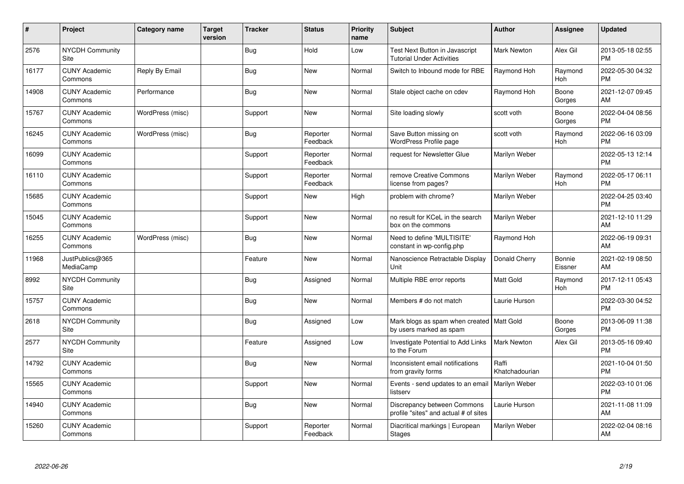| #     | Project                         | Category name    | <b>Target</b><br>version | <b>Tracker</b> | <b>Status</b>        | Priority<br>name | <b>Subject</b>                                                         | <b>Author</b>           | <b>Assignee</b>       | <b>Updated</b>                |
|-------|---------------------------------|------------------|--------------------------|----------------|----------------------|------------------|------------------------------------------------------------------------|-------------------------|-----------------------|-------------------------------|
| 2576  | <b>NYCDH Community</b><br>Site  |                  |                          | Bug            | Hold                 | Low              | Test Next Button in Javascript<br><b>Tutorial Under Activities</b>     | <b>Mark Newton</b>      | Alex Gil              | 2013-05-18 02:55<br><b>PM</b> |
| 16177 | <b>CUNY Academic</b><br>Commons | Reply By Email   |                          | <b>Bug</b>     | <b>New</b>           | Normal           | Switch to Inbound mode for RBE                                         | Raymond Hoh             | Raymond<br><b>Hoh</b> | 2022-05-30 04:32<br>PM        |
| 14908 | <b>CUNY Academic</b><br>Commons | Performance      |                          | Bug            | <b>New</b>           | Normal           | Stale object cache on cdev                                             | Raymond Hoh             | Boone<br>Gorges       | 2021-12-07 09:45<br>AM        |
| 15767 | <b>CUNY Academic</b><br>Commons | WordPress (misc) |                          | Support        | <b>New</b>           | Normal           | Site loading slowly                                                    | scott voth              | Boone<br>Gorges       | 2022-04-04 08:56<br><b>PM</b> |
| 16245 | <b>CUNY Academic</b><br>Commons | WordPress (misc) |                          | Bug            | Reporter<br>Feedback | Normal           | Save Button missing on<br>WordPress Profile page                       | scott voth              | Raymond<br><b>Hoh</b> | 2022-06-16 03:09<br><b>PM</b> |
| 16099 | <b>CUNY Academic</b><br>Commons |                  |                          | Support        | Reporter<br>Feedback | Normal           | request for Newsletter Glue                                            | Marilyn Weber           |                       | 2022-05-13 12:14<br><b>PM</b> |
| 16110 | <b>CUNY Academic</b><br>Commons |                  |                          | Support        | Reporter<br>Feedback | Normal           | remove Creative Commons<br>license from pages?                         | Marilyn Weber           | Raymond<br><b>Hoh</b> | 2022-05-17 06:11<br><b>PM</b> |
| 15685 | <b>CUNY Academic</b><br>Commons |                  |                          | Support        | New                  | High             | problem with chrome?                                                   | Marilyn Weber           |                       | 2022-04-25 03:40<br><b>PM</b> |
| 15045 | <b>CUNY Academic</b><br>Commons |                  |                          | Support        | <b>New</b>           | Normal           | no result for KCeL in the search<br>box on the commons                 | Marilyn Weber           |                       | 2021-12-10 11:29<br>AM        |
| 16255 | <b>CUNY Academic</b><br>Commons | WordPress (misc) |                          | Bug            | <b>New</b>           | Normal           | Need to define 'MULTISITE'<br>constant in wp-config.php                | Raymond Hoh             |                       | 2022-06-19 09:31<br>AM        |
| 11968 | JustPublics@365<br>MediaCamp    |                  |                          | Feature        | <b>New</b>           | Normal           | Nanoscience Retractable Display<br>Unit                                | Donald Cherry           | Bonnie<br>Eissner     | 2021-02-19 08:50<br>AM        |
| 8992  | <b>NYCDH Community</b><br>Site  |                  |                          | Bug            | Assigned             | Normal           | Multiple RBE error reports                                             | Matt Gold               | Raymond<br>Hoh        | 2017-12-11 05:43<br><b>PM</b> |
| 15757 | <b>CUNY Academic</b><br>Commons |                  |                          | <b>Bug</b>     | <b>New</b>           | Normal           | Members # do not match                                                 | Laurie Hurson           |                       | 2022-03-30 04:52<br><b>PM</b> |
| 2618  | <b>NYCDH Community</b><br>Site  |                  |                          | Bug            | Assigned             | Low              | Mark blogs as spam when created   Matt Gold<br>by users marked as spam |                         | Boone<br>Gorges       | 2013-06-09 11:38<br><b>PM</b> |
| 2577  | <b>NYCDH Community</b><br>Site  |                  |                          | Feature        | Assigned             | Low              | Investigate Potential to Add Links<br>to the Forum                     | <b>Mark Newton</b>      | Alex Gil              | 2013-05-16 09:40<br><b>PM</b> |
| 14792 | <b>CUNY Academic</b><br>Commons |                  |                          | Bug            | <b>New</b>           | Normal           | Inconsistent email notifications<br>from gravity forms                 | Raffi<br>Khatchadourian |                       | 2021-10-04 01:50<br><b>PM</b> |
| 15565 | <b>CUNY Academic</b><br>Commons |                  |                          | Support        | <b>New</b>           | Normal           | Events - send updates to an email<br>listserv                          | <b>Marilyn Weber</b>    |                       | 2022-03-10 01:06<br><b>PM</b> |
| 14940 | <b>CUNY Academic</b><br>Commons |                  |                          | <b>Bug</b>     | <b>New</b>           | Normal           | Discrepancy between Commons<br>profile "sites" and actual # of sites   | Laurie Hurson           |                       | 2021-11-08 11:09<br>AM        |
| 15260 | <b>CUNY Academic</b><br>Commons |                  |                          | Support        | Reporter<br>Feedback | Normal           | Diacritical markings   European<br><b>Stages</b>                       | Marilyn Weber           |                       | 2022-02-04 08:16<br>AM        |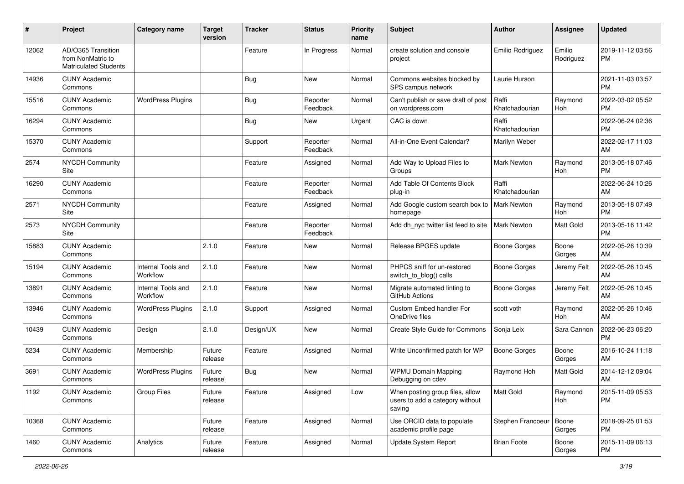| #     | Project                                                                 | <b>Category name</b>           | Target<br>version | Tracker   | <b>Status</b>        | <b>Priority</b><br>name | <b>Subject</b>                                                               | <b>Author</b>           | Assignee              | <b>Updated</b>                |
|-------|-------------------------------------------------------------------------|--------------------------------|-------------------|-----------|----------------------|-------------------------|------------------------------------------------------------------------------|-------------------------|-----------------------|-------------------------------|
| 12062 | AD/O365 Transition<br>from NonMatric to<br><b>Matriculated Students</b> |                                |                   | Feature   | In Progress          | Normal                  | create solution and console<br>project                                       | Emilio Rodriguez        | Emilio<br>Rodriguez   | 2019-11-12 03:56<br>РM        |
| 14936 | <b>CUNY Academic</b><br>Commons                                         |                                |                   | Bug       | <b>New</b>           | Normal                  | Commons websites blocked by<br>SPS campus network                            | Laurie Hurson           |                       | 2021-11-03 03:57<br><b>PM</b> |
| 15516 | <b>CUNY Academic</b><br>Commons                                         | <b>WordPress Plugins</b>       |                   | Bug       | Reporter<br>Feedback | Normal                  | Can't publish or save draft of post<br>on wordpress.com                      | Raffi<br>Khatchadourian | Raymond<br>Hoh        | 2022-03-02 05:52<br><b>PM</b> |
| 16294 | <b>CUNY Academic</b><br>Commons                                         |                                |                   | Bug       | New                  | Urgent                  | CAC is down                                                                  | Raffi<br>Khatchadourian |                       | 2022-06-24 02:36<br><b>PM</b> |
| 15370 | <b>CUNY Academic</b><br>Commons                                         |                                |                   | Support   | Reporter<br>Feedback | Normal                  | All-in-One Event Calendar?                                                   | Marilyn Weber           |                       | 2022-02-17 11:03<br>AM        |
| 2574  | <b>NYCDH Community</b><br>Site                                          |                                |                   | Feature   | Assigned             | Normal                  | Add Way to Upload Files to<br>Groups                                         | <b>Mark Newton</b>      | Raymond<br>Hoh        | 2013-05-18 07:46<br><b>PM</b> |
| 16290 | <b>CUNY Academic</b><br>Commons                                         |                                |                   | Feature   | Reporter<br>Feedback | Normal                  | Add Table Of Contents Block<br>plug-in                                       | Raffi<br>Khatchadourian |                       | 2022-06-24 10:26<br>AM        |
| 2571  | <b>NYCDH Community</b><br>Site                                          |                                |                   | Feature   | Assigned             | Normal                  | Add Google custom search box to<br>homepage                                  | <b>Mark Newton</b>      | Raymond<br>Hoh        | 2013-05-18 07:49<br><b>PM</b> |
| 2573  | NYCDH Community<br>Site                                                 |                                |                   | Feature   | Reporter<br>Feedback | Normal                  | Add dh_nyc twitter list feed to site                                         | <b>Mark Newton</b>      | Matt Gold             | 2013-05-16 11:42<br><b>PM</b> |
| 15883 | <b>CUNY Academic</b><br>Commons                                         |                                | 2.1.0             | Feature   | New                  | Normal                  | Release BPGES update                                                         | <b>Boone Gorges</b>     | Boone<br>Gorges       | 2022-05-26 10:39<br>AM        |
| 15194 | <b>CUNY Academic</b><br>Commons                                         | Internal Tools and<br>Workflow | 2.1.0             | Feature   | New                  | Normal                  | PHPCS sniff for un-restored<br>switch_to_blog() calls                        | <b>Boone Gorges</b>     | Jeremy Felt           | 2022-05-26 10:45<br>AM        |
| 13891 | <b>CUNY Academic</b><br>Commons                                         | Internal Tools and<br>Workflow | 2.1.0             | Feature   | <b>New</b>           | Normal                  | Migrate automated linting to<br>GitHub Actions                               | Boone Gorges            | Jeremy Felt           | 2022-05-26 10:45<br>AM        |
| 13946 | <b>CUNY Academic</b><br>Commons                                         | <b>WordPress Plugins</b>       | 2.1.0             | Support   | Assigned             | Normal                  | Custom Embed handler For<br>OneDrive files                                   | scott voth              | Raymond<br><b>Hoh</b> | 2022-05-26 10:46<br>AM        |
| 10439 | <b>CUNY Academic</b><br>Commons                                         | Design                         | 2.1.0             | Design/UX | New                  | Normal                  | Create Style Guide for Commons                                               | Sonja Leix              | Sara Cannon           | 2022-06-23 06:20<br><b>PM</b> |
| 5234  | <b>CUNY Academic</b><br>Commons                                         | Membership                     | Future<br>release | Feature   | Assigned             | Normal                  | Write Unconfirmed patch for WP                                               | <b>Boone Gorges</b>     | Boone<br>Gorges       | 2016-10-24 11:18<br>AM        |
| 3691  | <b>CUNY Academic</b><br>Commons                                         | <b>WordPress Plugins</b>       | Future<br>release | Bug       | New                  | Normal                  | <b>WPMU Domain Mapping</b><br>Debugging on cdev                              | Raymond Hoh             | <b>Matt Gold</b>      | 2014-12-12 09:04<br>AM        |
| 1192  | <b>CUNY Academic</b><br>Commons                                         | <b>Group Files</b>             | Future<br>release | Feature   | Assigned             | Low                     | When posting group files, allow<br>users to add a category without<br>saving | Matt Gold               | Raymond<br>Hoh        | 2015-11-09 05:53<br>PM        |
| 10368 | <b>CUNY Academic</b><br>Commons                                         |                                | Future<br>release | Feature   | Assigned             | Normal                  | Use ORCID data to populate<br>academic profile page                          | Stephen Francoeur       | Boone<br>Gorges       | 2018-09-25 01:53<br>PM        |
| 1460  | <b>CUNY Academic</b><br>Commons                                         | Analytics                      | Future<br>release | Feature   | Assigned             | Normal                  | Update System Report                                                         | <b>Brian Foote</b>      | Boone<br>Gorges       | 2015-11-09 06:13<br>PM        |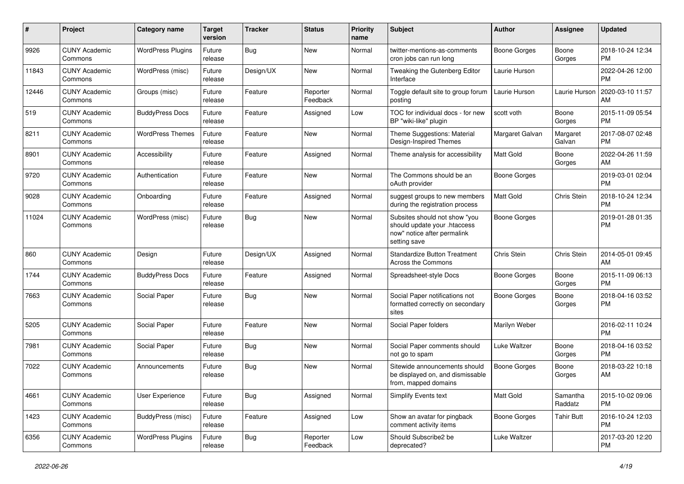| #     | Project                         | <b>Category name</b>     | <b>Target</b><br>version | <b>Tracker</b> | <b>Status</b>        | <b>Priority</b><br>name | <b>Subject</b>                                                                                               | <b>Author</b>       | <b>Assignee</b>     | <b>Updated</b>                |
|-------|---------------------------------|--------------------------|--------------------------|----------------|----------------------|-------------------------|--------------------------------------------------------------------------------------------------------------|---------------------|---------------------|-------------------------------|
| 9926  | <b>CUNY Academic</b><br>Commons | <b>WordPress Plugins</b> | Future<br>release        | <b>Bug</b>     | <b>New</b>           | Normal                  | twitter-mentions-as-comments<br>cron jobs can run long                                                       | <b>Boone Gorges</b> | Boone<br>Gorges     | 2018-10-24 12:34<br><b>PM</b> |
| 11843 | <b>CUNY Academic</b><br>Commons | WordPress (misc)         | Future<br>release        | Design/UX      | <b>New</b>           | Normal                  | <b>Tweaking the Gutenberg Editor</b><br>Interface                                                            | Laurie Hurson       |                     | 2022-04-26 12:00<br><b>PM</b> |
| 12446 | <b>CUNY Academic</b><br>Commons | Groups (misc)            | Future<br>release        | Feature        | Reporter<br>Feedback | Normal                  | Toggle default site to group forum<br>posting                                                                | Laurie Hurson       | Laurie Hurson       | 2020-03-10 11:57<br>AM        |
| 519   | <b>CUNY Academic</b><br>Commons | <b>BuddyPress Docs</b>   | Future<br>release        | Feature        | Assigned             | Low                     | TOC for individual docs - for new<br>BP "wiki-like" plugin                                                   | scott voth          | Boone<br>Gorges     | 2015-11-09 05:54<br><b>PM</b> |
| 8211  | <b>CUNY Academic</b><br>Commons | <b>WordPress Themes</b>  | Future<br>release        | Feature        | <b>New</b>           | Normal                  | Theme Suggestions: Material<br>Design-Inspired Themes                                                        | Margaret Galvan     | Margaret<br>Galvan  | 2017-08-07 02:48<br><b>PM</b> |
| 8901  | <b>CUNY Academic</b><br>Commons | Accessibility            | Future<br>release        | Feature        | Assigned             | Normal                  | Theme analysis for accessibility                                                                             | <b>Matt Gold</b>    | Boone<br>Gorges     | 2022-04-26 11:59<br>AM        |
| 9720  | <b>CUNY Academic</b><br>Commons | Authentication           | Future<br>release        | Feature        | New                  | Normal                  | The Commons should be an<br>oAuth provider                                                                   | <b>Boone Gorges</b> |                     | 2019-03-01 02:04<br><b>PM</b> |
| 9028  | <b>CUNY Academic</b><br>Commons | Onboarding               | Future<br>release        | Feature        | Assigned             | Normal                  | suggest groups to new members<br>during the registration process                                             | Matt Gold           | Chris Stein         | 2018-10-24 12:34<br><b>PM</b> |
| 11024 | <b>CUNY Academic</b><br>Commons | WordPress (misc)         | Future<br>release        | Bug            | New                  | Normal                  | Subsites should not show "you<br>should update your .htaccess<br>now" notice after permalink<br>setting save | Boone Gorges        |                     | 2019-01-28 01:35<br><b>PM</b> |
| 860   | <b>CUNY Academic</b><br>Commons | Design                   | Future<br>release        | Design/UX      | Assigned             | Normal                  | <b>Standardize Button Treatment</b><br><b>Across the Commons</b>                                             | Chris Stein         | Chris Stein         | 2014-05-01 09:45<br>AM        |
| 1744  | <b>CUNY Academic</b><br>Commons | <b>BuddyPress Docs</b>   | Future<br>release        | Feature        | Assigned             | Normal                  | Spreadsheet-style Docs                                                                                       | <b>Boone Gorges</b> | Boone<br>Gorges     | 2015-11-09 06:13<br><b>PM</b> |
| 7663  | <b>CUNY Academic</b><br>Commons | Social Paper             | Future<br>release        | Bug            | <b>New</b>           | Normal                  | Social Paper notifications not<br>formatted correctly on secondary<br>sites                                  | <b>Boone Gorges</b> | Boone<br>Gorges     | 2018-04-16 03:52<br><b>PM</b> |
| 5205  | <b>CUNY Academic</b><br>Commons | Social Paper             | Future<br>release        | Feature        | New                  | Normal                  | Social Paper folders                                                                                         | Marilyn Weber       |                     | 2016-02-11 10:24<br><b>PM</b> |
| 7981  | <b>CUNY Academic</b><br>Commons | Social Paper             | Future<br>release        | Bug            | <b>New</b>           | Normal                  | Social Paper comments should<br>not go to spam                                                               | Luke Waltzer        | Boone<br>Gorges     | 2018-04-16 03:52<br><b>PM</b> |
| 7022  | <b>CUNY Academic</b><br>Commons | Announcements            | Future<br>release        | Bug            | <b>New</b>           | Normal                  | Sitewide announcements should<br>be displayed on, and dismissable<br>from, mapped domains                    | Boone Gorges        | Boone<br>Gorges     | 2018-03-22 10:18<br>AM        |
| 4661  | <b>CUNY Academic</b><br>Commons | User Experience          | Future<br>release        | <b>Bug</b>     | Assigned             | Normal                  | Simplify Events text                                                                                         | Matt Gold           | Samantha<br>Raddatz | 2015-10-02 09:06<br>PM        |
| 1423  | <b>CUNY Academic</b><br>Commons | BuddyPress (misc)        | Future<br>release        | Feature        | Assigned             | Low                     | Show an avatar for pingback<br>comment activity items                                                        | <b>Boone Gorges</b> | <b>Tahir Butt</b>   | 2016-10-24 12:03<br>PM        |
| 6356  | <b>CUNY Academic</b><br>Commons | <b>WordPress Plugins</b> | Future<br>release        | Bug            | Reporter<br>Feedback | Low                     | Should Subscribe2 be<br>deprecated?                                                                          | Luke Waltzer        |                     | 2017-03-20 12:20<br>PM        |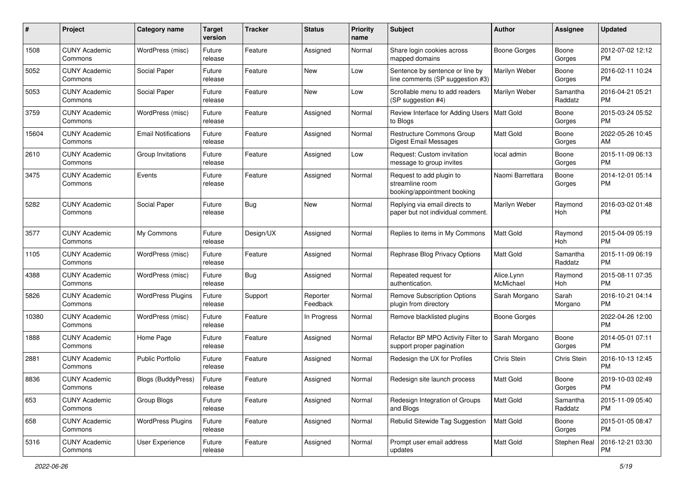| #     | Project                         | <b>Category name</b>       | <b>Target</b><br>version | <b>Tracker</b> | <b>Status</b>        | <b>Priority</b><br>name | Subject                                                                    | Author                  | Assignee            | <b>Updated</b>                |
|-------|---------------------------------|----------------------------|--------------------------|----------------|----------------------|-------------------------|----------------------------------------------------------------------------|-------------------------|---------------------|-------------------------------|
| 1508  | <b>CUNY Academic</b><br>Commons | WordPress (misc)           | Future<br>release        | Feature        | Assigned             | Normal                  | Share login cookies across<br>mapped domains                               | <b>Boone Gorges</b>     | Boone<br>Gorges     | 2012-07-02 12:12<br><b>PM</b> |
| 5052  | <b>CUNY Academic</b><br>Commons | Social Paper               | Future<br>release        | Feature        | <b>New</b>           | Low                     | Sentence by sentence or line by<br>line comments (SP suggestion #3)        | Marilyn Weber           | Boone<br>Gorges     | 2016-02-11 10:24<br><b>PM</b> |
| 5053  | <b>CUNY Academic</b><br>Commons | Social Paper               | Future<br>release        | Feature        | <b>New</b>           | Low                     | Scrollable menu to add readers<br>(SP suggestion #4)                       | Marilyn Weber           | Samantha<br>Raddatz | 2016-04-21 05:21<br><b>PM</b> |
| 3759  | <b>CUNY Academic</b><br>Commons | WordPress (misc)           | Future<br>release        | Feature        | Assigned             | Normal                  | Review Interface for Adding Users<br>to Blogs                              | <b>Matt Gold</b>        | Boone<br>Gorges     | 2015-03-24 05:52<br><b>PM</b> |
| 15604 | <b>CUNY Academic</b><br>Commons | <b>Email Notifications</b> | Future<br>release        | Feature        | Assigned             | Normal                  | Restructure Commons Group<br><b>Digest Email Messages</b>                  | <b>Matt Gold</b>        | Boone<br>Gorges     | 2022-05-26 10:45<br>AM        |
| 2610  | <b>CUNY Academic</b><br>Commons | Group Invitations          | Future<br>release        | Feature        | Assigned             | Low                     | Request: Custom invitation<br>message to group invites                     | local admin             | Boone<br>Gorges     | 2015-11-09 06:13<br><b>PM</b> |
| 3475  | <b>CUNY Academic</b><br>Commons | Events                     | Future<br>release        | Feature        | Assigned             | Normal                  | Request to add plugin to<br>streamline room<br>booking/appointment booking | Naomi Barrettara        | Boone<br>Gorges     | 2014-12-01 05:14<br><b>PM</b> |
| 5282  | <b>CUNY Academic</b><br>Commons | Social Paper               | Future<br>release        | Bug            | New                  | Normal                  | Replying via email directs to<br>paper but not individual comment.         | Marilyn Weber           | Raymond<br>Hoh      | 2016-03-02 01:48<br><b>PM</b> |
| 3577  | <b>CUNY Academic</b><br>Commons | My Commons                 | Future<br>release        | Design/UX      | Assigned             | Normal                  | Replies to items in My Commons                                             | Matt Gold               | Raymond<br>Hoh      | 2015-04-09 05:19<br><b>PM</b> |
| 1105  | <b>CUNY Academic</b><br>Commons | WordPress (misc)           | Future<br>release        | Feature        | Assigned             | Normal                  | Rephrase Blog Privacy Options                                              | Matt Gold               | Samantha<br>Raddatz | 2015-11-09 06:19<br><b>PM</b> |
| 4388  | <b>CUNY Academic</b><br>Commons | WordPress (misc)           | Future<br>release        | Bug            | Assigned             | Normal                  | Repeated request for<br>authentication.                                    | Alice.Lynn<br>McMichael | Raymond<br>Hoh      | 2015-08-11 07:35<br><b>PM</b> |
| 5826  | <b>CUNY Academic</b><br>Commons | <b>WordPress Plugins</b>   | Future<br>release        | Support        | Reporter<br>Feedback | Normal                  | <b>Remove Subscription Options</b><br>plugin from directory                | Sarah Morgano           | Sarah<br>Morgano    | 2016-10-21 04:14<br>PM        |
| 10380 | <b>CUNY Academic</b><br>Commons | WordPress (misc)           | Future<br>release        | Feature        | In Progress          | Normal                  | Remove blacklisted plugins                                                 | <b>Boone Gorges</b>     |                     | 2022-04-26 12:00<br><b>PM</b> |
| 1888  | <b>CUNY Academic</b><br>Commons | Home Page                  | Future<br>release        | Feature        | Assigned             | Normal                  | Refactor BP MPO Activity Filter to<br>support proper pagination            | Sarah Morgano           | Boone<br>Gorges     | 2014-05-01 07:11<br><b>PM</b> |
| 2881  | <b>CUNY Academic</b><br>Commons | <b>Public Portfolio</b>    | Future<br>release        | Feature        | Assigned             | Normal                  | Redesign the UX for Profiles                                               | Chris Stein             | Chris Stein         | 2016-10-13 12:45<br><b>PM</b> |
| 8836  | <b>CUNY Academic</b><br>Commons | Blogs (BuddyPress)         | Future<br>release        | Feature        | Assigned             | Normal                  | Redesign site launch process                                               | Matt Gold               | Boone<br>Gorges     | 2019-10-03 02:49<br>PM        |
| 653   | <b>CUNY Academic</b><br>Commons | Group Blogs                | Future<br>release        | Feature        | Assigned             | Normal                  | Redesign Integration of Groups<br>and Blogs                                | Matt Gold               | Samantha<br>Raddatz | 2015-11-09 05:40<br><b>PM</b> |
| 658   | <b>CUNY Academic</b><br>Commons | <b>WordPress Plugins</b>   | Future<br>release        | Feature        | Assigned             | Normal                  | Rebulid Sitewide Tag Suggestion                                            | <b>Matt Gold</b>        | Boone<br>Gorges     | 2015-01-05 08:47<br><b>PM</b> |
| 5316  | <b>CUNY Academic</b><br>Commons | User Experience            | Future<br>release        | Feature        | Assigned             | Normal                  | Prompt user email address<br>updates                                       | Matt Gold               | Stephen Real        | 2016-12-21 03:30<br>PM        |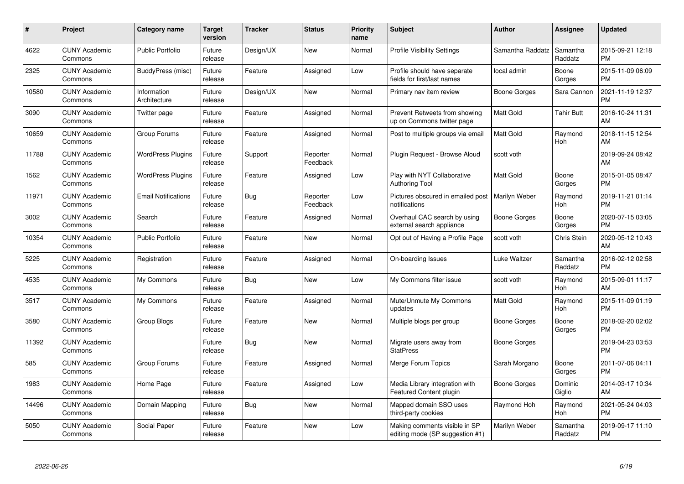| $\#$  | Project                         | <b>Category name</b>        | <b>Target</b><br>version | <b>Tracker</b> | <b>Status</b>        | <b>Priority</b><br>name | <b>Subject</b>                                                   | Author              | <b>Assignee</b>       | <b>Updated</b>                |
|-------|---------------------------------|-----------------------------|--------------------------|----------------|----------------------|-------------------------|------------------------------------------------------------------|---------------------|-----------------------|-------------------------------|
| 4622  | <b>CUNY Academic</b><br>Commons | <b>Public Portfolio</b>     | Future<br>release        | Design/UX      | <b>New</b>           | Normal                  | <b>Profile Visibility Settings</b>                               | Samantha Raddatz    | Samantha<br>Raddatz   | 2015-09-21 12:18<br><b>PM</b> |
| 2325  | <b>CUNY Academic</b><br>Commons | BuddyPress (misc)           | Future<br>release        | Feature        | Assigned             | Low                     | Profile should have separate<br>fields for first/last names      | local admin         | Boone<br>Gorges       | 2015-11-09 06:09<br><b>PM</b> |
| 10580 | <b>CUNY Academic</b><br>Commons | Information<br>Architecture | Future<br>release        | Design/UX      | <b>New</b>           | Normal                  | Primary nav item review                                          | Boone Gorges        | Sara Cannon           | 2021-11-19 12:37<br><b>PM</b> |
| 3090  | <b>CUNY Academic</b><br>Commons | Twitter page                | Future<br>release        | Feature        | Assigned             | Normal                  | Prevent Retweets from showing<br>up on Commons twitter page      | Matt Gold           | <b>Tahir Butt</b>     | 2016-10-24 11:31<br>AM        |
| 10659 | <b>CUNY Academic</b><br>Commons | Group Forums                | Future<br>release        | Feature        | Assigned             | Normal                  | Post to multiple groups via email                                | <b>Matt Gold</b>    | Raymond<br><b>Hoh</b> | 2018-11-15 12:54<br>AM        |
| 11788 | <b>CUNY Academic</b><br>Commons | <b>WordPress Plugins</b>    | Future<br>release        | Support        | Reporter<br>Feedback | Normal                  | Plugin Request - Browse Aloud                                    | scott voth          |                       | 2019-09-24 08:42<br>AM        |
| 1562  | <b>CUNY Academic</b><br>Commons | <b>WordPress Plugins</b>    | Future<br>release        | Feature        | Assigned             | Low                     | Play with NYT Collaborative<br><b>Authoring Tool</b>             | <b>Matt Gold</b>    | Boone<br>Gorges       | 2015-01-05 08:47<br><b>PM</b> |
| 11971 | <b>CUNY Academic</b><br>Commons | <b>Email Notifications</b>  | Future<br>release        | Bug            | Reporter<br>Feedback | Low                     | Pictures obscured in emailed post<br>notifications               | Marilyn Weber       | Raymond<br>Hoh        | 2019-11-21 01:14<br><b>PM</b> |
| 3002  | <b>CUNY Academic</b><br>Commons | Search                      | Future<br>release        | Feature        | Assigned             | Normal                  | Overhaul CAC search by using<br>external search appliance        | <b>Boone Gorges</b> | Boone<br>Gorges       | 2020-07-15 03:05<br><b>PM</b> |
| 10354 | <b>CUNY Academic</b><br>Commons | <b>Public Portfolio</b>     | Future<br>release        | Feature        | <b>New</b>           | Normal                  | Opt out of Having a Profile Page                                 | scott voth          | Chris Stein           | 2020-05-12 10:43<br>AM        |
| 5225  | <b>CUNY Academic</b><br>Commons | Registration                | Future<br>release        | Feature        | Assigned             | Normal                  | On-boarding Issues                                               | Luke Waltzer        | Samantha<br>Raddatz   | 2016-02-12 02:58<br><b>PM</b> |
| 4535  | <b>CUNY Academic</b><br>Commons | My Commons                  | Future<br>release        | <b>Bug</b>     | <b>New</b>           | Low                     | My Commons filter issue                                          | scott voth          | Raymond<br>Hoh        | 2015-09-01 11:17<br>AM        |
| 3517  | <b>CUNY Academic</b><br>Commons | My Commons                  | Future<br>release        | Feature        | Assigned             | Normal                  | Mute/Unmute My Commons<br>updates                                | <b>Matt Gold</b>    | Raymond<br>Hoh        | 2015-11-09 01:19<br><b>PM</b> |
| 3580  | <b>CUNY Academic</b><br>Commons | Group Blogs                 | Future<br>release        | Feature        | <b>New</b>           | Normal                  | Multiple blogs per group                                         | Boone Gorges        | Boone<br>Gorges       | 2018-02-20 02:02<br><b>PM</b> |
| 11392 | <b>CUNY Academic</b><br>Commons |                             | Future<br>release        | <b>Bug</b>     | <b>New</b>           | Normal                  | Migrate users away from<br><b>StatPress</b>                      | <b>Boone Gorges</b> |                       | 2019-04-23 03:53<br><b>PM</b> |
| 585   | <b>CUNY Academic</b><br>Commons | Group Forums                | Future<br>release        | Feature        | Assigned             | Normal                  | Merge Forum Topics                                               | Sarah Morgano       | Boone<br>Gorges       | 2011-07-06 04:11<br><b>PM</b> |
| 1983  | <b>CUNY Academic</b><br>Commons | Home Page                   | Future<br>release        | Feature        | Assigned             | Low                     | Media Library integration with<br>Featured Content plugin        | Boone Gorges        | Dominic<br>Giglio     | 2014-03-17 10:34<br>AM        |
| 14496 | <b>CUNY Academic</b><br>Commons | Domain Mapping              | Future<br>release        | Bug            | <b>New</b>           | Normal                  | Mapped domain SSO uses<br>third-party cookies                    | Raymond Hoh         | Raymond<br>Hoh        | 2021-05-24 04:03<br><b>PM</b> |
| 5050  | <b>CUNY Academic</b><br>Commons | Social Paper                | Future<br>release        | Feature        | <b>New</b>           | Low                     | Making comments visible in SP<br>editing mode (SP suggestion #1) | Marilyn Weber       | Samantha<br>Raddatz   | 2019-09-17 11:10<br>PM        |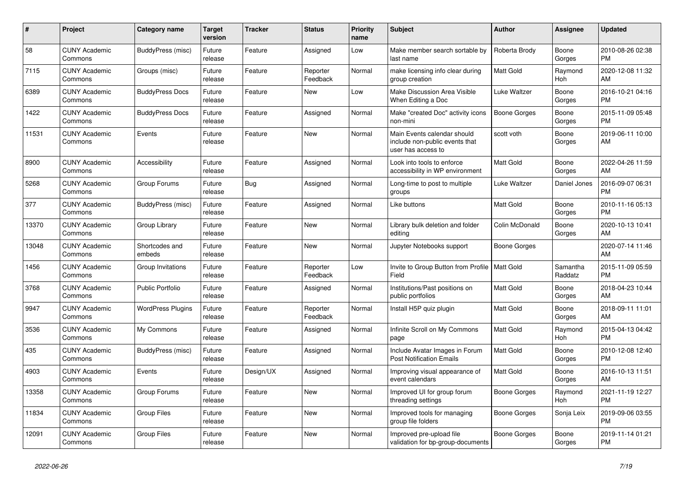| #     | <b>Project</b>                  | Category name            | Target<br>version | <b>Tracker</b> | <b>Status</b>        | <b>Priority</b><br>name | <b>Subject</b>                                                                      | <b>Author</b>       | Assignee            | <b>Updated</b>                |
|-------|---------------------------------|--------------------------|-------------------|----------------|----------------------|-------------------------|-------------------------------------------------------------------------------------|---------------------|---------------------|-------------------------------|
| 58    | <b>CUNY Academic</b><br>Commons | BuddyPress (misc)        | Future<br>release | Feature        | Assigned             | Low                     | Make member search sortable by<br>last name                                         | Roberta Brody       | Boone<br>Gorges     | 2010-08-26 02:38<br><b>PM</b> |
| 7115  | <b>CUNY Academic</b><br>Commons | Groups (misc)            | Future<br>release | Feature        | Reporter<br>Feedback | Normal                  | make licensing info clear during<br>group creation                                  | <b>Matt Gold</b>    | Raymond<br>Hoh      | 2020-12-08 11:32<br>AM        |
| 6389  | <b>CUNY Academic</b><br>Commons | <b>BuddyPress Docs</b>   | Future<br>release | Feature        | <b>New</b>           | Low                     | Make Discussion Area Visible<br>When Editing a Doc                                  | Luke Waltzer        | Boone<br>Gorges     | 2016-10-21 04:16<br><b>PM</b> |
| 1422  | <b>CUNY Academic</b><br>Commons | <b>BuddyPress Docs</b>   | Future<br>release | Feature        | Assigned             | Normal                  | Make "created Doc" activity icons<br>non-mini                                       | <b>Boone Gorges</b> | Boone<br>Gorges     | 2015-11-09 05:48<br><b>PM</b> |
| 11531 | <b>CUNY Academic</b><br>Commons | Events                   | Future<br>release | Feature        | New                  | Normal                  | Main Events calendar should<br>include non-public events that<br>user has access to | scott voth          | Boone<br>Gorges     | 2019-06-11 10:00<br>AM        |
| 8900  | <b>CUNY Academic</b><br>Commons | Accessibility            | Future<br>release | Feature        | Assigned             | Normal                  | Look into tools to enforce<br>accessibility in WP environment                       | <b>Matt Gold</b>    | Boone<br>Gorges     | 2022-04-26 11:59<br>AM        |
| 5268  | <b>CUNY Academic</b><br>Commons | Group Forums             | Future<br>release | Bug            | Assigned             | Normal                  | Long-time to post to multiple<br>groups                                             | Luke Waltzer        | Daniel Jones        | 2016-09-07 06:31<br><b>PM</b> |
| 377   | <b>CUNY Academic</b><br>Commons | BuddyPress (misc)        | Future<br>release | Feature        | Assigned             | Normal                  | Like buttons                                                                        | <b>Matt Gold</b>    | Boone<br>Gorges     | 2010-11-16 05:13<br><b>PM</b> |
| 13370 | <b>CUNY Academic</b><br>Commons | Group Library            | Future<br>release | Feature        | New                  | Normal                  | Library bulk deletion and folder<br>editing                                         | Colin McDonald      | Boone<br>Gorges     | 2020-10-13 10:41<br>AM        |
| 13048 | <b>CUNY Academic</b><br>Commons | Shortcodes and<br>embeds | Future<br>release | Feature        | <b>New</b>           | Normal                  | Jupyter Notebooks support                                                           | Boone Gorges        |                     | 2020-07-14 11:46<br>AM        |
| 1456  | <b>CUNY Academic</b><br>Commons | Group Invitations        | Future<br>release | Feature        | Reporter<br>Feedback | Low                     | Invite to Group Button from Profile   Matt Gold<br>Field                            |                     | Samantha<br>Raddatz | 2015-11-09 05:59<br><b>PM</b> |
| 3768  | <b>CUNY Academic</b><br>Commons | <b>Public Portfolio</b>  | Future<br>release | Feature        | Assigned             | Normal                  | Institutions/Past positions on<br>public portfolios                                 | Matt Gold           | Boone<br>Gorges     | 2018-04-23 10:44<br>AM        |
| 9947  | <b>CUNY Academic</b><br>Commons | <b>WordPress Plugins</b> | Future<br>release | Feature        | Reporter<br>Feedback | Normal                  | Install H5P quiz plugin                                                             | Matt Gold           | Boone<br>Gorges     | 2018-09-11 11:01<br>AM        |
| 3536  | <b>CUNY Academic</b><br>Commons | My Commons               | Future<br>release | Feature        | Assigned             | Normal                  | Infinite Scroll on My Commons<br>page                                               | Matt Gold           | Raymond<br>Hoh      | 2015-04-13 04:42<br><b>PM</b> |
| 435   | <b>CUNY Academic</b><br>Commons | BuddyPress (misc)        | Future<br>release | Feature        | Assigned             | Normal                  | Include Avatar Images in Forum<br><b>Post Notification Emails</b>                   | Matt Gold           | Boone<br>Gorges     | 2010-12-08 12:40<br><b>PM</b> |
| 4903  | <b>CUNY Academic</b><br>Commons | Events                   | Future<br>release | Design/UX      | Assigned             | Normal                  | Improving visual appearance of<br>event calendars                                   | <b>Matt Gold</b>    | Boone<br>Gorges     | 2016-10-13 11:51<br>AM        |
| 13358 | <b>CUNY Academic</b><br>Commons | Group Forums             | Future<br>release | Feature        | <b>New</b>           | Normal                  | Improved UI for group forum<br>threading settings                                   | Boone Gorges        | Raymond<br>Hoh      | 2021-11-19 12:27<br><b>PM</b> |
| 11834 | <b>CUNY Academic</b><br>Commons | <b>Group Files</b>       | Future<br>release | Feature        | <b>New</b>           | Normal                  | Improved tools for managing<br>group file folders                                   | Boone Gorges        | Sonja Leix          | 2019-09-06 03:55<br><b>PM</b> |
| 12091 | <b>CUNY Academic</b><br>Commons | <b>Group Files</b>       | Future<br>release | Feature        | <b>New</b>           | Normal                  | Improved pre-upload file<br>validation for bp-group-documents                       | Boone Gorges        | Boone<br>Gorges     | 2019-11-14 01:21<br><b>PM</b> |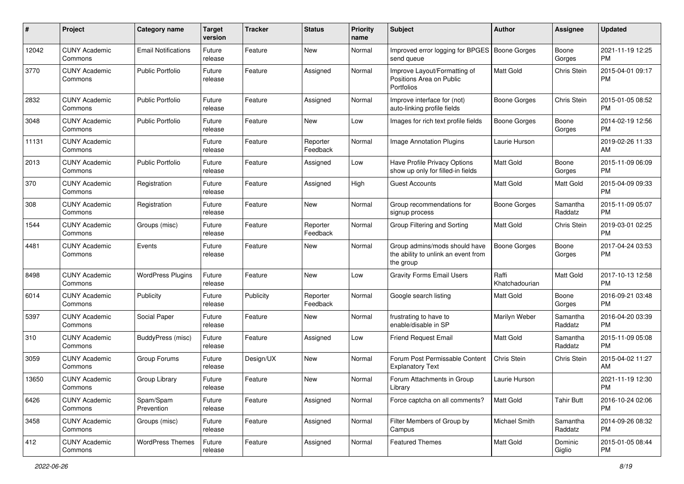| #     | Project                         | <b>Category name</b>       | <b>Target</b><br>version | <b>Tracker</b> | <b>Status</b>        | <b>Priority</b><br>name | <b>Subject</b>                                                                    | Author                  | Assignee            | <b>Updated</b>                |
|-------|---------------------------------|----------------------------|--------------------------|----------------|----------------------|-------------------------|-----------------------------------------------------------------------------------|-------------------------|---------------------|-------------------------------|
| 12042 | <b>CUNY Academic</b><br>Commons | <b>Email Notifications</b> | Future<br>release        | Feature        | <b>New</b>           | Normal                  | Improved error logging for BPGES   Boone Gorges<br>send queue                     |                         | Boone<br>Gorges     | 2021-11-19 12:25<br><b>PM</b> |
| 3770  | <b>CUNY Academic</b><br>Commons | <b>Public Portfolio</b>    | Future<br>release        | Feature        | Assigned             | Normal                  | Improve Layout/Formatting of<br>Positions Area on Public<br><b>Portfolios</b>     | Matt Gold               | Chris Stein         | 2015-04-01 09:17<br><b>PM</b> |
| 2832  | <b>CUNY Academic</b><br>Commons | <b>Public Portfolio</b>    | Future<br>release        | Feature        | Assigned             | Normal                  | Improve interface for (not)<br>auto-linking profile fields                        | <b>Boone Gorges</b>     | Chris Stein         | 2015-01-05 08:52<br><b>PM</b> |
| 3048  | <b>CUNY Academic</b><br>Commons | <b>Public Portfolio</b>    | Future<br>release        | Feature        | New                  | Low                     | Images for rich text profile fields                                               | <b>Boone Gorges</b>     | Boone<br>Gorges     | 2014-02-19 12:56<br><b>PM</b> |
| 11131 | <b>CUNY Academic</b><br>Commons |                            | Future<br>release        | Feature        | Reporter<br>Feedback | Normal                  | Image Annotation Plugins                                                          | Laurie Hurson           |                     | 2019-02-26 11:33<br>AM        |
| 2013  | <b>CUNY Academic</b><br>Commons | <b>Public Portfolio</b>    | Future<br>release        | Feature        | Assigned             | Low                     | Have Profile Privacy Options<br>show up only for filled-in fields                 | <b>Matt Gold</b>        | Boone<br>Gorges     | 2015-11-09 06:09<br><b>PM</b> |
| 370   | <b>CUNY Academic</b><br>Commons | Registration               | Future<br>release        | Feature        | Assigned             | High                    | <b>Guest Accounts</b>                                                             | <b>Matt Gold</b>        | Matt Gold           | 2015-04-09 09:33<br><b>PM</b> |
| 308   | <b>CUNY Academic</b><br>Commons | Registration               | Future<br>release        | Feature        | New                  | Normal                  | Group recommendations for<br>signup process                                       | <b>Boone Gorges</b>     | Samantha<br>Raddatz | 2015-11-09 05:07<br><b>PM</b> |
| 1544  | <b>CUNY Academic</b><br>Commons | Groups (misc)              | Future<br>release        | Feature        | Reporter<br>Feedback | Normal                  | Group Filtering and Sorting                                                       | <b>Matt Gold</b>        | Chris Stein         | 2019-03-01 02:25<br><b>PM</b> |
| 4481  | <b>CUNY Academic</b><br>Commons | Events                     | Future<br>release        | Feature        | New                  | Normal                  | Group admins/mods should have<br>the ability to unlink an event from<br>the group | <b>Boone Gorges</b>     | Boone<br>Gorges     | 2017-04-24 03:53<br><b>PM</b> |
| 8498  | <b>CUNY Academic</b><br>Commons | <b>WordPress Plugins</b>   | Future<br>release        | Feature        | New                  | Low                     | <b>Gravity Forms Email Users</b>                                                  | Raffi<br>Khatchadourian | Matt Gold           | 2017-10-13 12:58<br><b>PM</b> |
| 6014  | <b>CUNY Academic</b><br>Commons | Publicity                  | Future<br>release        | Publicity      | Reporter<br>Feedback | Normal                  | Google search listing                                                             | <b>Matt Gold</b>        | Boone<br>Gorges     | 2016-09-21 03:48<br><b>PM</b> |
| 5397  | <b>CUNY Academic</b><br>Commons | Social Paper               | Future<br>release        | Feature        | <b>New</b>           | Normal                  | frustrating to have to<br>enable/disable in SP                                    | Marilyn Weber           | Samantha<br>Raddatz | 2016-04-20 03:39<br><b>PM</b> |
| 310   | <b>CUNY Academic</b><br>Commons | BuddyPress (misc)          | Future<br>release        | Feature        | Assigned             | Low                     | <b>Friend Request Email</b>                                                       | Matt Gold               | Samantha<br>Raddatz | 2015-11-09 05:08<br><b>PM</b> |
| 3059  | <b>CUNY Academic</b><br>Commons | Group Forums               | Future<br>release        | Design/UX      | <b>New</b>           | Normal                  | Forum Post Permissable Content<br><b>Explanatory Text</b>                         | Chris Stein             | Chris Stein         | 2015-04-02 11:27<br>AM        |
| 13650 | <b>CUNY Academic</b><br>Commons | Group Library              | Future<br>release        | Feature        | <b>New</b>           | Normal                  | Forum Attachments in Group<br>Library                                             | Laurie Hurson           |                     | 2021-11-19 12:30<br>PM        |
| 6426  | <b>CUNY Academic</b><br>Commons | Spam/Spam<br>Prevention    | Future<br>release        | Feature        | Assigned             | Normal                  | Force captcha on all comments?                                                    | Matt Gold               | <b>Tahir Butt</b>   | 2016-10-24 02:06<br><b>PM</b> |
| 3458  | <b>CUNY Academic</b><br>Commons | Groups (misc)              | Future<br>release        | Feature        | Assigned             | Normal                  | Filter Members of Group by<br>Campus                                              | Michael Smith           | Samantha<br>Raddatz | 2014-09-26 08:32<br><b>PM</b> |
| 412   | <b>CUNY Academic</b><br>Commons | <b>WordPress Themes</b>    | Future<br>release        | Feature        | Assigned             | Normal                  | <b>Featured Themes</b>                                                            | Matt Gold               | Dominic<br>Giglio   | 2015-01-05 08:44<br>PM        |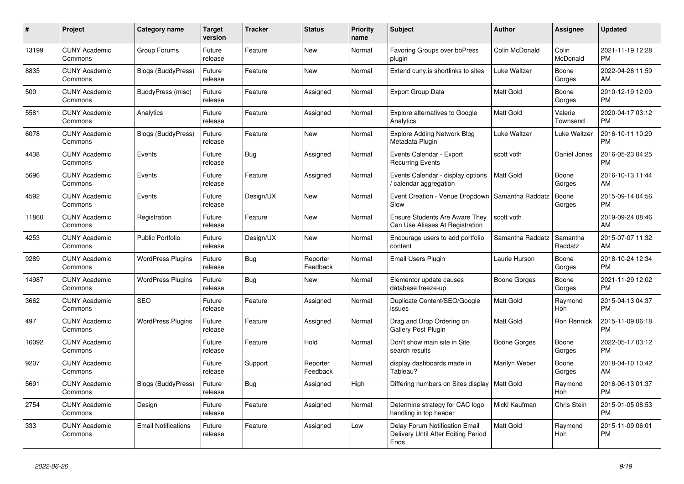| #     | Project                         | Category name              | Target<br>version | <b>Tracker</b> | <b>Status</b>        | <b>Priority</b><br>name | <b>Subject</b>                                                                | <b>Author</b>    | Assignee                 | <b>Updated</b>                |
|-------|---------------------------------|----------------------------|-------------------|----------------|----------------------|-------------------------|-------------------------------------------------------------------------------|------------------|--------------------------|-------------------------------|
| 13199 | <b>CUNY Academic</b><br>Commons | Group Forums               | Future<br>release | Feature        | <b>New</b>           | Normal                  | <b>Favoring Groups over bbPress</b><br>plugin                                 | Colin McDonald   | Colin<br><b>McDonald</b> | 2021-11-19 12:28<br><b>PM</b> |
| 8835  | <b>CUNY Academic</b><br>Commons | <b>Blogs (BuddyPress)</b>  | Future<br>release | Feature        | <b>New</b>           | Normal                  | Extend cuny is shortlinks to sites                                            | Luke Waltzer     | Boone<br>Gorges          | 2022-04-26 11:59<br>AM        |
| 500   | <b>CUNY Academic</b><br>Commons | BuddyPress (misc)          | Future<br>release | Feature        | Assigned             | Normal                  | Export Group Data                                                             | Matt Gold        | Boone<br>Gorges          | 2010-12-19 12:09<br><b>PM</b> |
| 5581  | <b>CUNY Academic</b><br>Commons | Analytics                  | Future<br>release | Feature        | Assigned             | Normal                  | <b>Explore alternatives to Google</b><br>Analytics                            | Matt Gold        | Valerie<br>Townsend      | 2020-04-17 03:12<br>PM        |
| 6078  | <b>CUNY Academic</b><br>Commons | Blogs (BuddyPress)         | Future<br>release | Feature        | <b>New</b>           | Normal                  | <b>Explore Adding Network Blog</b><br>Metadata Plugin                         | Luke Waltzer     | Luke Waltzer             | 2016-10-11 10:29<br><b>PM</b> |
| 4438  | <b>CUNY Academic</b><br>Commons | Events                     | Future<br>release | Bug            | Assigned             | Normal                  | Events Calendar - Export<br><b>Recurring Events</b>                           | scott voth       | Daniel Jones             | 2016-05-23 04:25<br><b>PM</b> |
| 5696  | <b>CUNY Academic</b><br>Commons | Events                     | Future<br>release | Feature        | Assigned             | Normal                  | Events Calendar - display options<br>/ calendar aggregation                   | <b>Matt Gold</b> | Boone<br>Gorges          | 2016-10-13 11:44<br>AM        |
| 4592  | <b>CUNY Academic</b><br>Commons | Events                     | Future<br>release | Design/UX      | <b>New</b>           | Normal                  | Event Creation - Venue Dropdown<br>Slow                                       | Samantha Raddatz | Boone<br>Gorges          | 2015-09-14 04:56<br><b>PM</b> |
| 11860 | <b>CUNY Academic</b><br>Commons | Registration               | Future<br>release | Feature        | <b>New</b>           | Normal                  | <b>Ensure Students Are Aware They</b><br>Can Use Aliases At Registration      | scott voth       |                          | 2019-09-24 08:46<br>AM        |
| 4253  | <b>CUNY Academic</b><br>Commons | <b>Public Portfolio</b>    | Future<br>release | Design/UX      | <b>New</b>           | Normal                  | Encourage users to add portfolio<br>content                                   | Samantha Raddatz | Samantha<br>Raddatz      | 2015-07-07 11:32<br>AM        |
| 9289  | <b>CUNY Academic</b><br>Commons | <b>WordPress Plugins</b>   | Future<br>release | Bug            | Reporter<br>Feedback | Normal                  | Email Users Plugin                                                            | Laurie Hurson    | Boone<br>Gorges          | 2018-10-24 12:34<br><b>PM</b> |
| 14987 | <b>CUNY Academic</b><br>Commons | <b>WordPress Plugins</b>   | Future<br>release | Bug            | New                  | Normal                  | Elementor update causes<br>database freeze-up                                 | Boone Gorges     | Boone<br>Gorges          | 2021-11-29 12:02<br><b>PM</b> |
| 3662  | <b>CUNY Academic</b><br>Commons | <b>SEO</b>                 | Future<br>release | Feature        | Assigned             | Normal                  | Duplicate Content/SEO/Google<br>issues                                        | <b>Matt Gold</b> | Raymond<br>Hoh           | 2015-04-13 04:37<br><b>PM</b> |
| 497   | <b>CUNY Academic</b><br>Commons | <b>WordPress Plugins</b>   | Future<br>release | Feature        | Assigned             | Normal                  | Drag and Drop Ordering on<br>Gallery Post Plugin                              | <b>Matt Gold</b> | <b>Ron Rennick</b>       | 2015-11-09 06:18<br><b>PM</b> |
| 16092 | <b>CUNY Academic</b><br>Commons |                            | Future<br>release | Feature        | Hold                 | Normal                  | Don't show main site in Site<br>search results                                | Boone Gorges     | Boone<br>Gorges          | 2022-05-17 03:12<br><b>PM</b> |
| 9207  | <b>CUNY Academic</b><br>Commons |                            | Future<br>release | Support        | Reporter<br>Feedback | Normal                  | display dashboards made in<br>Tableau?                                        | Marilyn Weber    | Boone<br>Gorges          | 2018-04-10 10:42<br>AM        |
| 5691  | <b>CUNY Academic</b><br>Commons | <b>Blogs (BuddyPress)</b>  | Future<br>release | Bug            | Assigned             | High                    | Differing numbers on Sites display   Matt Gold                                |                  | Raymond<br>Hoh           | 2016-06-13 01:37<br><b>PM</b> |
| 2754  | <b>CUNY Academic</b><br>Commons | Design                     | Future<br>release | Feature        | Assigned             | Normal                  | Determine strategy for CAC logo<br>handling in top header                     | Micki Kaufman    | Chris Stein              | 2015-01-05 08:53<br><b>PM</b> |
| 333   | <b>CUNY Academic</b><br>Commons | <b>Email Notifications</b> | Future<br>release | Feature        | Assigned             | Low                     | Delay Forum Notification Email<br>Delivery Until After Editing Period<br>Ends | Matt Gold        | Raymond<br>Hoh           | 2015-11-09 06:01<br><b>PM</b> |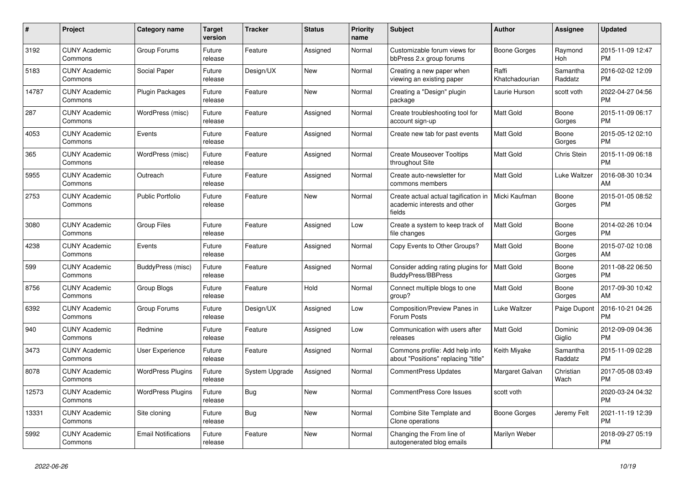| $\pmb{\#}$ | Project                         | Category name              | <b>Target</b><br>version | <b>Tracker</b> | <b>Status</b> | <b>Priority</b><br>name | <b>Subject</b>                                                                 | <b>Author</b>           | <b>Assignee</b>       | <b>Updated</b>                |
|------------|---------------------------------|----------------------------|--------------------------|----------------|---------------|-------------------------|--------------------------------------------------------------------------------|-------------------------|-----------------------|-------------------------------|
| 3192       | <b>CUNY Academic</b><br>Commons | Group Forums               | Future<br>release        | Feature        | Assigned      | Normal                  | Customizable forum views for<br>bbPress 2.x group forums                       | Boone Gorges            | Raymond<br><b>Hoh</b> | 2015-11-09 12:47<br><b>PM</b> |
| 5183       | <b>CUNY Academic</b><br>Commons | Social Paper               | Future<br>release        | Design/UX      | <b>New</b>    | Normal                  | Creating a new paper when<br>viewing an existing paper                         | Raffi<br>Khatchadourian | Samantha<br>Raddatz   | 2016-02-02 12:09<br><b>PM</b> |
| 14787      | <b>CUNY Academic</b><br>Commons | Plugin Packages            | Future<br>release        | Feature        | <b>New</b>    | Normal                  | Creating a "Design" plugin<br>package                                          | Laurie Hurson           | scott voth            | 2022-04-27 04:56<br><b>PM</b> |
| 287        | <b>CUNY Academic</b><br>Commons | WordPress (misc)           | Future<br>release        | Feature        | Assigned      | Normal                  | Create troubleshooting tool for<br>account sign-up                             | <b>Matt Gold</b>        | Boone<br>Gorges       | 2015-11-09 06:17<br><b>PM</b> |
| 4053       | <b>CUNY Academic</b><br>Commons | Events                     | Future<br>release        | Feature        | Assigned      | Normal                  | Create new tab for past events                                                 | Matt Gold               | Boone<br>Gorges       | 2015-05-12 02:10<br><b>PM</b> |
| 365        | <b>CUNY Academic</b><br>Commons | WordPress (misc)           | Future<br>release        | Feature        | Assigned      | Normal                  | <b>Create Mouseover Tooltips</b><br>throughout Site                            | Matt Gold               | Chris Stein           | 2015-11-09 06:18<br><b>PM</b> |
| 5955       | <b>CUNY Academic</b><br>Commons | Outreach                   | Future<br>release        | Feature        | Assigned      | Normal                  | Create auto-newsletter for<br>commons members                                  | <b>Matt Gold</b>        | Luke Waltzer          | 2016-08-30 10:34<br>AM        |
| 2753       | <b>CUNY Academic</b><br>Commons | Public Portfolio           | Future<br>release        | Feature        | <b>New</b>    | Normal                  | Create actual actual tagification in<br>academic interests and other<br>fields | Micki Kaufman           | Boone<br>Gorges       | 2015-01-05 08:52<br>PM        |
| 3080       | <b>CUNY Academic</b><br>Commons | <b>Group Files</b>         | Future<br>release        | Feature        | Assigned      | Low                     | Create a system to keep track of<br>file changes                               | <b>Matt Gold</b>        | Boone<br>Gorges       | 2014-02-26 10:04<br><b>PM</b> |
| 4238       | <b>CUNY Academic</b><br>Commons | Events                     | Future<br>release        | Feature        | Assigned      | Normal                  | Copy Events to Other Groups?                                                   | <b>Matt Gold</b>        | Boone<br>Gorges       | 2015-07-02 10:08<br>AM        |
| 599        | <b>CUNY Academic</b><br>Commons | BuddyPress (misc)          | Future<br>release        | Feature        | Assigned      | Normal                  | Consider adding rating plugins for<br>BuddyPress/BBPress                       | <b>Matt Gold</b>        | Boone<br>Gorges       | 2011-08-22 06:50<br><b>PM</b> |
| 8756       | <b>CUNY Academic</b><br>Commons | Group Blogs                | Future<br>release        | Feature        | Hold          | Normal                  | Connect multiple blogs to one<br>group?                                        | <b>Matt Gold</b>        | Boone<br>Gorges       | 2017-09-30 10:42<br>AM        |
| 6392       | <b>CUNY Academic</b><br>Commons | Group Forums               | Future<br>release        | Design/UX      | Assigned      | Low                     | Composition/Preview Panes in<br>Forum Posts                                    | Luke Waltzer            | Paige Dupont          | 2016-10-21 04:26<br><b>PM</b> |
| 940        | <b>CUNY Academic</b><br>Commons | Redmine                    | Future<br>release        | Feature        | Assigned      | Low                     | Communication with users after<br>releases                                     | <b>Matt Gold</b>        | Dominic<br>Giglio     | 2012-09-09 04:36<br><b>PM</b> |
| 3473       | <b>CUNY Academic</b><br>Commons | User Experience            | Future<br>release        | Feature        | Assigned      | Normal                  | Commons profile: Add help info<br>about "Positions" replacing "title"          | Keith Miyake            | Samantha<br>Raddatz   | 2015-11-09 02:28<br><b>PM</b> |
| 8078       | <b>CUNY Academic</b><br>Commons | <b>WordPress Plugins</b>   | Future<br>release        | System Upgrade | Assigned      | Normal                  | <b>CommentPress Updates</b>                                                    | Margaret Galvan         | Christian<br>Wach     | 2017-05-08 03:49<br><b>PM</b> |
| 12573      | <b>CUNY Academic</b><br>Commons | <b>WordPress Plugins</b>   | Future<br>release        | Bug            | <b>New</b>    | Normal                  | <b>CommentPress Core Issues</b>                                                | scott voth              |                       | 2020-03-24 04:32<br><b>PM</b> |
| 13331      | <b>CUNY Academic</b><br>Commons | Site cloning               | Future<br>release        | <b>Bug</b>     | <b>New</b>    | Normal                  | Combine Site Template and<br>Clone operations                                  | Boone Gorges            | Jeremy Felt           | 2021-11-19 12:39<br><b>PM</b> |
| 5992       | <b>CUNY Academic</b><br>Commons | <b>Email Notifications</b> | Future<br>release        | Feature        | <b>New</b>    | Normal                  | Changing the From line of<br>autogenerated blog emails                         | Marilyn Weber           |                       | 2018-09-27 05:19<br><b>PM</b> |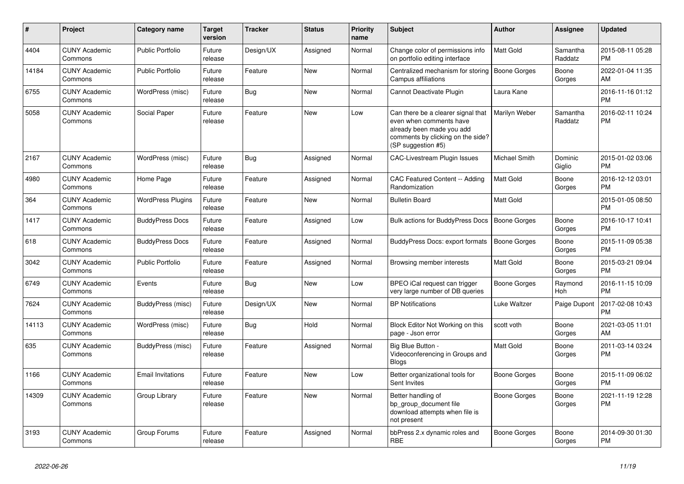| #     | <b>Project</b>                  | <b>Category name</b>     | <b>Target</b><br>version | <b>Tracker</b> | <b>Status</b> | <b>Priority</b><br>name | <b>Subject</b>                                                                                                                                        | <b>Author</b>       | Assignee              | <b>Updated</b>                |
|-------|---------------------------------|--------------------------|--------------------------|----------------|---------------|-------------------------|-------------------------------------------------------------------------------------------------------------------------------------------------------|---------------------|-----------------------|-------------------------------|
| 4404  | <b>CUNY Academic</b><br>Commons | <b>Public Portfolio</b>  | Future<br>release        | Design/UX      | Assigned      | Normal                  | Change color of permissions info<br>on portfolio editing interface                                                                                    | Matt Gold           | Samantha<br>Raddatz   | 2015-08-11 05:28<br><b>PM</b> |
| 14184 | <b>CUNY Academic</b><br>Commons | <b>Public Portfolio</b>  | Future<br>release        | Feature        | <b>New</b>    | Normal                  | Centralized mechanism for storing<br>Campus affiliations                                                                                              | <b>Boone Gorges</b> | Boone<br>Gorges       | 2022-01-04 11:35<br>AM        |
| 6755  | <b>CUNY Academic</b><br>Commons | WordPress (misc)         | Future<br>release        | Bug            | <b>New</b>    | Normal                  | Cannot Deactivate Plugin                                                                                                                              | Laura Kane          |                       | 2016-11-16 01:12<br><b>PM</b> |
| 5058  | <b>CUNY Academic</b><br>Commons | Social Paper             | Future<br>release        | Feature        | New           | Low                     | Can there be a clearer signal that<br>even when comments have<br>already been made you add<br>comments by clicking on the side?<br>(SP suggestion #5) | Marilyn Weber       | Samantha<br>Raddatz   | 2016-02-11 10:24<br><b>PM</b> |
| 2167  | <b>CUNY Academic</b><br>Commons | WordPress (misc)         | Future<br>release        | Bug            | Assigned      | Normal                  | CAC-Livestream Plugin Issues                                                                                                                          | Michael Smith       | Dominic<br>Giglio     | 2015-01-02 03:06<br><b>PM</b> |
| 4980  | <b>CUNY Academic</b><br>Commons | Home Page                | Future<br>release        | Feature        | Assigned      | Normal                  | CAC Featured Content -- Adding<br>Randomization                                                                                                       | <b>Matt Gold</b>    | Boone<br>Gorges       | 2016-12-12 03:01<br><b>PM</b> |
| 364   | <b>CUNY Academic</b><br>Commons | <b>WordPress Plugins</b> | Future<br>release        | Feature        | <b>New</b>    | Normal                  | <b>Bulletin Board</b>                                                                                                                                 | Matt Gold           |                       | 2015-01-05 08:50<br><b>PM</b> |
| 1417  | <b>CUNY Academic</b><br>Commons | <b>BuddyPress Docs</b>   | Future<br>release        | Feature        | Assigned      | Low                     | Bulk actions for BuddyPress Docs                                                                                                                      | <b>Boone Gorges</b> | Boone<br>Gorges       | 2016-10-17 10:41<br><b>PM</b> |
| 618   | <b>CUNY Academic</b><br>Commons | <b>BuddyPress Docs</b>   | Future<br>release        | Feature        | Assigned      | Normal                  | BuddyPress Docs: export formats                                                                                                                       | <b>Boone Gorges</b> | Boone<br>Gorges       | 2015-11-09 05:38<br><b>PM</b> |
| 3042  | <b>CUNY Academic</b><br>Commons | <b>Public Portfolio</b>  | Future<br>release        | Feature        | Assigned      | Normal                  | Browsing member interests                                                                                                                             | Matt Gold           | Boone<br>Gorges       | 2015-03-21 09:04<br><b>PM</b> |
| 6749  | <b>CUNY Academic</b><br>Commons | Events                   | Future<br>release        | <b>Bug</b>     | New           | Low                     | BPEO iCal request can trigger<br>very large number of DB queries                                                                                      | Boone Gorges        | Raymond<br><b>Hoh</b> | 2016-11-15 10:09<br><b>PM</b> |
| 7624  | <b>CUNY Academic</b><br>Commons | BuddyPress (misc)        | Future<br>release        | Design/UX      | <b>New</b>    | Normal                  | <b>BP</b> Notifications                                                                                                                               | Luke Waltzer        | Paige Dupont          | 2017-02-08 10:43<br><b>PM</b> |
| 14113 | <b>CUNY Academic</b><br>Commons | WordPress (misc)         | Future<br>release        | Bug            | Hold          | Normal                  | Block Editor Not Working on this<br>page - Json error                                                                                                 | scott voth          | Boone<br>Gorges       | 2021-03-05 11:01<br>AM        |
| 635   | <b>CUNY Academic</b><br>Commons | BuddyPress (misc)        | Future<br>release        | Feature        | Assigned      | Normal                  | Big Blue Button -<br>Videoconferencing in Groups and<br><b>Blogs</b>                                                                                  | Matt Gold           | Boone<br>Gorges       | 2011-03-14 03:24<br><b>PM</b> |
| 1166  | <b>CUNY Academic</b><br>Commons | <b>Email Invitations</b> | Future<br>release        | Feature        | <b>New</b>    | Low                     | Better organizational tools for<br>Sent Invites                                                                                                       | Boone Gorges        | Boone<br>Gorges       | 2015-11-09 06:02<br><b>PM</b> |
| 14309 | <b>CUNY Academic</b><br>Commons | Group Library            | Future<br>release        | Feature        | New           | Normal                  | Better handling of<br>bp group document file<br>download attempts when file is<br>not present                                                         | Boone Gorges        | Boone<br>Gorges       | 2021-11-19 12:28<br><b>PM</b> |
| 3193  | <b>CUNY Academic</b><br>Commons | Group Forums             | Future<br>release        | Feature        | Assigned      | Normal                  | bbPress 2.x dynamic roles and<br><b>RBE</b>                                                                                                           | Boone Gorges        | Boone<br>Gorges       | 2014-09-30 01:30<br><b>PM</b> |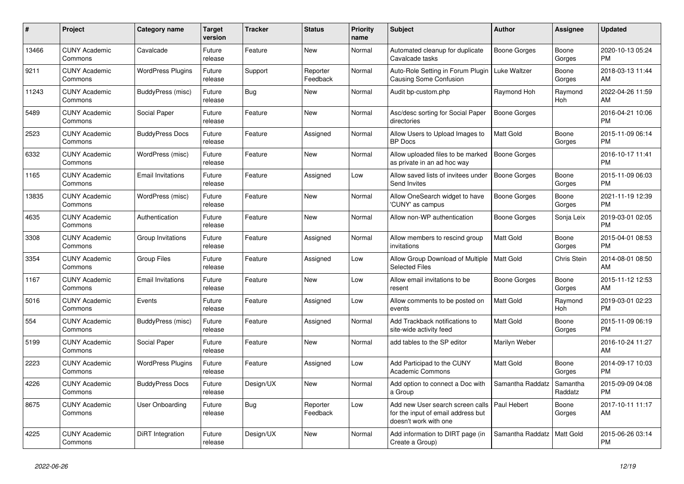| $\pmb{\#}$ | <b>Project</b>                  | Category name            | <b>Target</b><br>version | <b>Tracker</b> | <b>Status</b>        | <b>Priority</b><br>name | <b>Subject</b>                                                                                  | <b>Author</b>       | <b>Assignee</b>     | <b>Updated</b>                |
|------------|---------------------------------|--------------------------|--------------------------|----------------|----------------------|-------------------------|-------------------------------------------------------------------------------------------------|---------------------|---------------------|-------------------------------|
| 13466      | <b>CUNY Academic</b><br>Commons | Cavalcade                | Future<br>release        | Feature        | <b>New</b>           | Normal                  | Automated cleanup for duplicate<br>Cavalcade tasks                                              | <b>Boone Gorges</b> | Boone<br>Gorges     | 2020-10-13 05:24<br><b>PM</b> |
| 9211       | <b>CUNY Academic</b><br>Commons | <b>WordPress Plugins</b> | Future<br>release        | Support        | Reporter<br>Feedback | Normal                  | Auto-Role Setting in Forum Plugin<br><b>Causing Some Confusion</b>                              | Luke Waltzer        | Boone<br>Gorges     | 2018-03-13 11:44<br>AM        |
| 11243      | <b>CUNY Academic</b><br>Commons | BuddyPress (misc)        | Future<br>release        | Bug            | <b>New</b>           | Normal                  | Audit bp-custom.php                                                                             | Raymond Hoh         | Raymond<br>Hoh      | 2022-04-26 11:59<br>AM        |
| 5489       | <b>CUNY Academic</b><br>Commons | Social Paper             | Future<br>release        | Feature        | <b>New</b>           | Normal                  | Asc/desc sorting for Social Paper<br>directories                                                | <b>Boone Gorges</b> |                     | 2016-04-21 10:06<br><b>PM</b> |
| 2523       | <b>CUNY Academic</b><br>Commons | <b>BuddyPress Docs</b>   | Future<br>release        | Feature        | Assigned             | Normal                  | Allow Users to Upload Images to<br><b>BP</b> Docs                                               | Matt Gold           | Boone<br>Gorges     | 2015-11-09 06:14<br><b>PM</b> |
| 6332       | <b>CUNY Academic</b><br>Commons | WordPress (misc)         | Future<br>release        | Feature        | <b>New</b>           | Normal                  | Allow uploaded files to be marked<br>as private in an ad hoc way                                | <b>Boone Gorges</b> |                     | 2016-10-17 11:41<br><b>PM</b> |
| 1165       | <b>CUNY Academic</b><br>Commons | <b>Email Invitations</b> | Future<br>release        | Feature        | Assigned             | Low                     | Allow saved lists of invitees under<br>Send Invites                                             | <b>Boone Gorges</b> | Boone<br>Gorges     | 2015-11-09 06:03<br><b>PM</b> |
| 13835      | <b>CUNY Academic</b><br>Commons | WordPress (misc)         | Future<br>release        | Feature        | <b>New</b>           | Normal                  | Allow OneSearch widget to have<br>'CUNY' as campus                                              | Boone Gorges        | Boone<br>Gorges     | 2021-11-19 12:39<br><b>PM</b> |
| 4635       | <b>CUNY Academic</b><br>Commons | Authentication           | Future<br>release        | Feature        | <b>New</b>           | Normal                  | Allow non-WP authentication                                                                     | Boone Gorges        | Sonja Leix          | 2019-03-01 02:05<br><b>PM</b> |
| 3308       | <b>CUNY Academic</b><br>Commons | Group Invitations        | Future<br>release        | Feature        | Assigned             | Normal                  | Allow members to rescind group<br>invitations                                                   | <b>Matt Gold</b>    | Boone<br>Gorges     | 2015-04-01 08:53<br><b>PM</b> |
| 3354       | <b>CUNY Academic</b><br>Commons | <b>Group Files</b>       | Future<br>release        | Feature        | Assigned             | Low                     | Allow Group Download of Multiple<br><b>Selected Files</b>                                       | Matt Gold           | Chris Stein         | 2014-08-01 08:50<br>AM        |
| 1167       | <b>CUNY Academic</b><br>Commons | <b>Email Invitations</b> | Future<br>release        | Feature        | <b>New</b>           | Low                     | Allow email invitations to be<br>resent                                                         | Boone Gorges        | Boone<br>Gorges     | 2015-11-12 12:53<br>AM        |
| 5016       | <b>CUNY Academic</b><br>Commons | Events                   | Future<br>release        | Feature        | Assigned             | Low                     | Allow comments to be posted on<br>events                                                        | <b>Matt Gold</b>    | Raymond<br>Hoh      | 2019-03-01 02:23<br><b>PM</b> |
| 554        | <b>CUNY Academic</b><br>Commons | BuddyPress (misc)        | Future<br>release        | Feature        | Assigned             | Normal                  | Add Trackback notifications to<br>site-wide activity feed                                       | <b>Matt Gold</b>    | Boone<br>Gorges     | 2015-11-09 06:19<br><b>PM</b> |
| 5199       | <b>CUNY Academic</b><br>Commons | Social Paper             | Future<br>release        | Feature        | <b>New</b>           | Normal                  | add tables to the SP editor                                                                     | Marilyn Weber       |                     | 2016-10-24 11:27<br>AM        |
| 2223       | <b>CUNY Academic</b><br>Commons | <b>WordPress Plugins</b> | Future<br>release        | Feature        | Assigned             | Low                     | Add Participad to the CUNY<br><b>Academic Commons</b>                                           | Matt Gold           | Boone<br>Gorges     | 2014-09-17 10:03<br><b>PM</b> |
| 4226       | <b>CUNY Academic</b><br>Commons | <b>BuddyPress Docs</b>   | Future<br>release        | Design/UX      | <b>New</b>           | Normal                  | Add option to connect a Doc with<br>a Group                                                     | Samantha Raddatz    | Samantha<br>Raddatz | 2015-09-09 04:08<br><b>PM</b> |
| 8675       | <b>CUNY Academic</b><br>Commons | <b>User Onboarding</b>   | Future<br>release        | Bug            | Reporter<br>Feedback | Low                     | Add new User search screen calls<br>for the input of email address but<br>doesn't work with one | Paul Hebert         | Boone<br>Gorges     | 2017-10-11 11:17<br>AM        |
| 4225       | <b>CUNY Academic</b><br>Commons | DiRT Integration         | Future<br>release        | Design/UX      | <b>New</b>           | Normal                  | Add information to DIRT page (in<br>Create a Group)                                             | Samantha Raddatz    | <b>Matt Gold</b>    | 2015-06-26 03:14<br><b>PM</b> |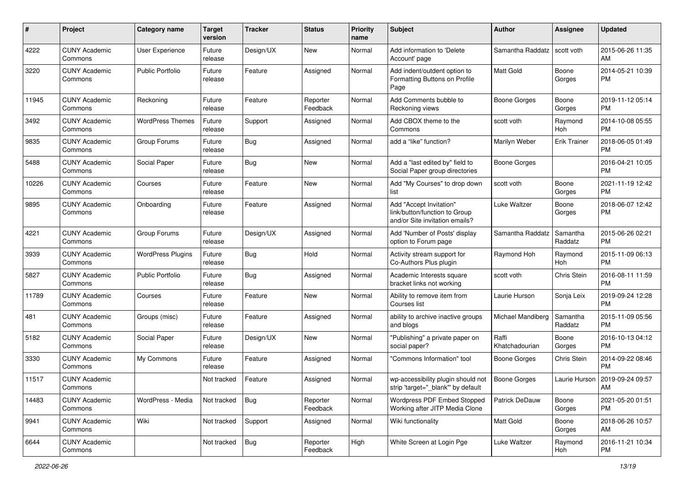| #     | Project                         | <b>Category name</b>     | <b>Target</b><br>version | <b>Tracker</b> | <b>Status</b>        | <b>Priority</b><br>name | Subject                                                                                    | Author                  | Assignee            | <b>Updated</b>                |
|-------|---------------------------------|--------------------------|--------------------------|----------------|----------------------|-------------------------|--------------------------------------------------------------------------------------------|-------------------------|---------------------|-------------------------------|
| 4222  | <b>CUNY Academic</b><br>Commons | User Experience          | Future<br>release        | Design/UX      | <b>New</b>           | Normal                  | Add information to 'Delete<br>Account' page                                                | Samantha Raddatz        | scott voth          | 2015-06-26 11:35<br>AM        |
| 3220  | <b>CUNY Academic</b><br>Commons | <b>Public Portfolio</b>  | Future<br>release        | Feature        | Assigned             | Normal                  | Add indent/outdent option to<br>Formatting Buttons on Profile<br>Page                      | <b>Matt Gold</b>        | Boone<br>Gorges     | 2014-05-21 10:39<br>PM        |
| 11945 | <b>CUNY Academic</b><br>Commons | Reckoning                | Future<br>release        | Feature        | Reporter<br>Feedback | Normal                  | Add Comments bubble to<br>Reckoning views                                                  | <b>Boone Gorges</b>     | Boone<br>Gorges     | 2019-11-12 05:14<br><b>PM</b> |
| 3492  | <b>CUNY Academic</b><br>Commons | <b>WordPress Themes</b>  | Future<br>release        | Support        | Assigned             | Normal                  | Add CBOX theme to the<br>Commons                                                           | scott voth              | Raymond<br>Hoh      | 2014-10-08 05:55<br><b>PM</b> |
| 9835  | <b>CUNY Academic</b><br>Commons | Group Forums             | Future<br>release        | Bug            | Assigned             | Normal                  | add a "like" function?                                                                     | Marilyn Weber           | <b>Erik Trainer</b> | 2018-06-05 01:49<br><b>PM</b> |
| 5488  | <b>CUNY Academic</b><br>Commons | Social Paper             | Future<br>release        | <b>Bug</b>     | New                  | Normal                  | Add a "last edited by" field to<br>Social Paper group directories                          | <b>Boone Gorges</b>     |                     | 2016-04-21 10:05<br><b>PM</b> |
| 10226 | <b>CUNY Academic</b><br>Commons | Courses                  | Future<br>release        | Feature        | <b>New</b>           | Normal                  | Add "My Courses" to drop down<br>list                                                      | scott voth              | Boone<br>Gorges     | 2021-11-19 12:42<br><b>PM</b> |
| 9895  | <b>CUNY Academic</b><br>Commons | Onboarding               | Future<br>release        | Feature        | Assigned             | Normal                  | Add "Accept Invitation"<br>link/button/function to Group<br>and/or Site invitation emails? | Luke Waltzer            | Boone<br>Gorges     | 2018-06-07 12:42<br><b>PM</b> |
| 4221  | <b>CUNY Academic</b><br>Commons | Group Forums             | Future<br>release        | Design/UX      | Assigned             | Normal                  | Add 'Number of Posts' display<br>option to Forum page                                      | Samantha Raddatz        | Samantha<br>Raddatz | 2015-06-26 02:21<br><b>PM</b> |
| 3939  | <b>CUNY Academic</b><br>Commons | <b>WordPress Plugins</b> | Future<br>release        | <b>Bug</b>     | Hold                 | Normal                  | Activity stream support for<br>Co-Authors Plus plugin                                      | Raymond Hoh             | Raymond<br>Hoh      | 2015-11-09 06:13<br><b>PM</b> |
| 5827  | <b>CUNY Academic</b><br>Commons | <b>Public Portfolio</b>  | Future<br>release        | Bug            | Assigned             | Normal                  | Academic Interests square<br>bracket links not working                                     | scott voth              | Chris Stein         | 2016-08-11 11:59<br><b>PM</b> |
| 11789 | <b>CUNY Academic</b><br>Commons | Courses                  | Future<br>release        | Feature        | New                  | Normal                  | Ability to remove item from<br>Courses list                                                | Laurie Hurson           | Sonja Leix          | 2019-09-24 12:28<br><b>PM</b> |
| 481   | <b>CUNY Academic</b><br>Commons | Groups (misc)            | Future<br>release        | Feature        | Assigned             | Normal                  | ability to archive inactive groups<br>and blogs                                            | Michael Mandiberg       | Samantha<br>Raddatz | 2015-11-09 05:56<br><b>PM</b> |
| 5182  | <b>CUNY Academic</b><br>Commons | Social Paper             | Future<br>release        | Design/UX      | New                  | Normal                  | "Publishing" a private paper on<br>social paper?                                           | Raffi<br>Khatchadourian | Boone<br>Gorges     | 2016-10-13 04:12<br><b>PM</b> |
| 3330  | <b>CUNY Academic</b><br>Commons | My Commons               | Future<br>release        | Feature        | Assigned             | Normal                  | "Commons Information" tool                                                                 | Boone Gorges            | Chris Stein         | 2014-09-22 08:46<br><b>PM</b> |
| 11517 | <b>CUNY Academic</b><br>Commons |                          | Not tracked              | Feature        | Assigned             | Normal                  | wp-accessibility plugin should not<br>strip 'target="_blank"' by default                   | <b>Boone Gorges</b>     | Laurie Hurson       | 2019-09-24 09:57<br>AM        |
| 14483 | <b>CUNY Academic</b><br>Commons | WordPress - Media        | Not tracked              | <b>Bug</b>     | Reporter<br>Feedback | Normal                  | Wordpress PDF Embed Stopped<br>Working after JITP Media Clone                              | Patrick DeDauw          | Boone<br>Gorges     | 2021-05-20 01:51<br><b>PM</b> |
| 9941  | <b>CUNY Academic</b><br>Commons | Wiki                     | Not tracked              | Support        | Assigned             | Normal                  | Wiki functionality                                                                         | Matt Gold               | Boone<br>Gorges     | 2018-06-26 10:57<br>AM        |
| 6644  | <b>CUNY Academic</b><br>Commons |                          | Not tracked              | Bug            | Reporter<br>Feedback | High                    | White Screen at Login Pge                                                                  | Luke Waltzer            | Raymond<br>Hoh      | 2016-11-21 10:34<br>PM        |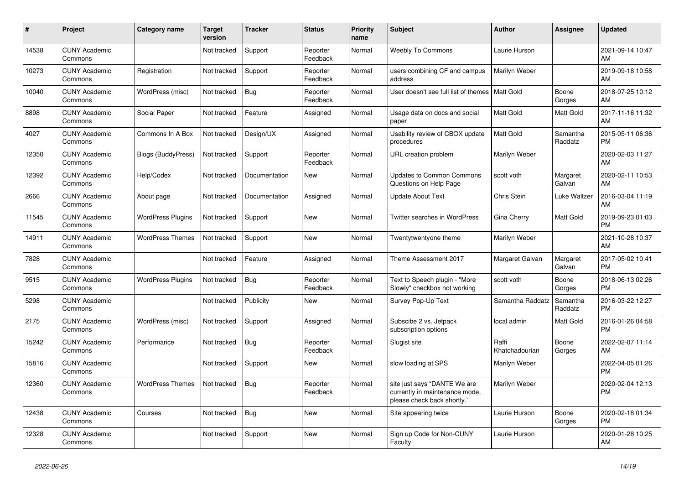| #     | Project                         | <b>Category name</b>     | <b>Target</b><br>version | <b>Tracker</b> | <b>Status</b>        | <b>Priority</b><br>name | <b>Subject</b>                                                                                | <b>Author</b>           | <b>Assignee</b>     | <b>Updated</b>                |
|-------|---------------------------------|--------------------------|--------------------------|----------------|----------------------|-------------------------|-----------------------------------------------------------------------------------------------|-------------------------|---------------------|-------------------------------|
| 14538 | <b>CUNY Academic</b><br>Commons |                          | Not tracked              | Support        | Reporter<br>Feedback | Normal                  | <b>Weebly To Commons</b>                                                                      | Laurie Hurson           |                     | 2021-09-14 10:47<br>AM        |
| 10273 | <b>CUNY Academic</b><br>Commons | Registration             | Not tracked              | Support        | Reporter<br>Feedback | Normal                  | users combining CF and campus<br>address                                                      | Marilyn Weber           |                     | 2019-09-18 10:58<br>AM        |
| 10040 | <b>CUNY Academic</b><br>Commons | WordPress (misc)         | Not tracked              | <b>Bug</b>     | Reporter<br>Feedback | Normal                  | User doesn't see full list of themes                                                          | <b>Matt Gold</b>        | Boone<br>Gorges     | 2018-07-25 10:12<br>AM        |
| 8898  | <b>CUNY Academic</b><br>Commons | Social Paper             | Not tracked              | Feature        | Assigned             | Normal                  | Usage data on docs and social<br>paper                                                        | <b>Matt Gold</b>        | <b>Matt Gold</b>    | 2017-11-16 11:32<br>AM        |
| 4027  | <b>CUNY Academic</b><br>Commons | Commons In A Box         | Not tracked              | Design/UX      | Assigned             | Normal                  | Usability review of CBOX update<br>procedures                                                 | <b>Matt Gold</b>        | Samantha<br>Raddatz | 2015-05-11 06:36<br><b>PM</b> |
| 12350 | <b>CUNY Academic</b><br>Commons | Blogs (BuddyPress)       | Not tracked              | Support        | Reporter<br>Feedback | Normal                  | URL creation problem                                                                          | Marilyn Weber           |                     | 2020-02-03 11:27<br>AM        |
| 12392 | <b>CUNY Academic</b><br>Commons | Help/Codex               | Not tracked              | Documentation  | <b>New</b>           | Normal                  | <b>Updates to Common Commons</b><br>Questions on Help Page                                    | scott voth              | Margaret<br>Galvan  | 2020-02-11 10:53<br>AM        |
| 2666  | <b>CUNY Academic</b><br>Commons | About page               | Not tracked              | Documentation  | Assigned             | Normal                  | <b>Update About Text</b>                                                                      | <b>Chris Stein</b>      | Luke Waltzer        | 2016-03-04 11:19<br>AM        |
| 11545 | <b>CUNY Academic</b><br>Commons | WordPress Plugins        | Not tracked              | Support        | <b>New</b>           | Normal                  | Twitter searches in WordPress                                                                 | Gina Cherry             | <b>Matt Gold</b>    | 2019-09-23 01:03<br><b>PM</b> |
| 14911 | <b>CUNY Academic</b><br>Commons | <b>WordPress Themes</b>  | Not tracked              | Support        | <b>New</b>           | Normal                  | Twentytwentyone theme                                                                         | Marilyn Weber           |                     | 2021-10-28 10:37<br>AM        |
| 7828  | <b>CUNY Academic</b><br>Commons |                          | Not tracked              | Feature        | Assigned             | Normal                  | Theme Assessment 2017                                                                         | Margaret Galvan         | Margaret<br>Galvan  | 2017-05-02 10:41<br><b>PM</b> |
| 9515  | <b>CUNY Academic</b><br>Commons | <b>WordPress Plugins</b> | Not tracked              | <b>Bug</b>     | Reporter<br>Feedback | Normal                  | Text to Speech plugin - "More<br>Slowly" checkbox not working                                 | scott voth              | Boone<br>Gorges     | 2018-06-13 02:26<br><b>PM</b> |
| 5298  | <b>CUNY Academic</b><br>Commons |                          | Not tracked              | Publicity      | <b>New</b>           | Normal                  | Survey Pop-Up Text                                                                            | Samantha Raddatz        | Samantha<br>Raddatz | 2016-03-22 12:27<br><b>PM</b> |
| 2175  | <b>CUNY Academic</b><br>Commons | WordPress (misc)         | Not tracked              | Support        | Assigned             | Normal                  | Subscibe 2 vs. Jetpack<br>subscription options                                                | local admin             | Matt Gold           | 2016-01-26 04:58<br><b>PM</b> |
| 15242 | <b>CUNY Academic</b><br>Commons | Performance              | Not tracked              | Bug            | Reporter<br>Feedback | Normal                  | Slugist site                                                                                  | Raffi<br>Khatchadourian | Boone<br>Gorges     | 2022-02-07 11:14<br>AM        |
| 15816 | <b>CUNY Academic</b><br>Commons |                          | Not tracked              | Support        | <b>New</b>           | Normal                  | slow loading at SPS                                                                           | Marilyn Weber           |                     | 2022-04-05 01:26<br><b>PM</b> |
| 12360 | <b>CUNY Academic</b><br>Commons | <b>WordPress Themes</b>  | Not tracked              | <b>Bug</b>     | Reporter<br>Feedback | Normal                  | site just says "DANTE We are<br>currently in maintenance mode,<br>please check back shortly." | Marilyn Weber           |                     | 2020-02-04 12:13<br><b>PM</b> |
| 12438 | <b>CUNY Academic</b><br>Commons | Courses                  | Not tracked              | Bug            | <b>New</b>           | Normal                  | Site appearing twice                                                                          | Laurie Hurson           | Boone<br>Gorges     | 2020-02-18 01:34<br><b>PM</b> |
| 12328 | <b>CUNY Academic</b><br>Commons |                          | Not tracked              | Support        | <b>New</b>           | Normal                  | Sign up Code for Non-CUNY<br>Faculty                                                          | Laurie Hurson           |                     | 2020-01-28 10:25<br>AM        |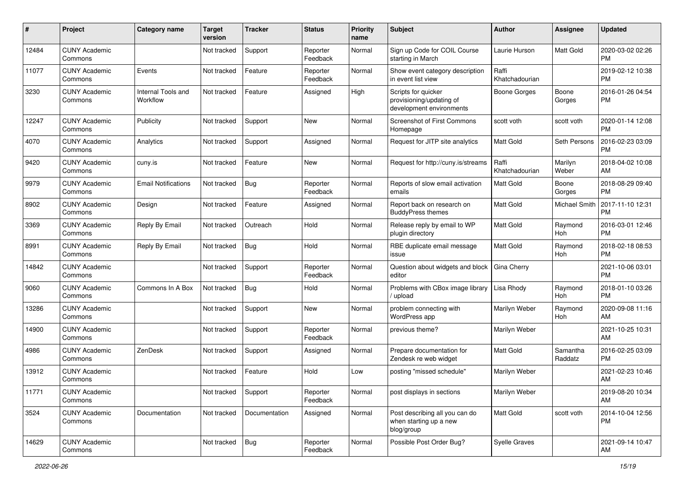| #     | Project                         | <b>Category name</b>           | <b>Target</b><br>version | Tracker       | <b>Status</b>        | <b>Priority</b><br>name | Subject                                                                     | Author                  | Assignee            | <b>Updated</b>                |
|-------|---------------------------------|--------------------------------|--------------------------|---------------|----------------------|-------------------------|-----------------------------------------------------------------------------|-------------------------|---------------------|-------------------------------|
| 12484 | <b>CUNY Academic</b><br>Commons |                                | Not tracked              | Support       | Reporter<br>Feedback | Normal                  | Sign up Code for COIL Course<br>starting in March                           | Laurie Hurson           | Matt Gold           | 2020-03-02 02:26<br>PM        |
| 11077 | <b>CUNY Academic</b><br>Commons | Events                         | Not tracked              | Feature       | Reporter<br>Feedback | Normal                  | Show event category description<br>in event list view                       | Raffi<br>Khatchadourian |                     | 2019-02-12 10:38<br><b>PM</b> |
| 3230  | <b>CUNY Academic</b><br>Commons | Internal Tools and<br>Workflow | Not tracked              | Feature       | Assigned             | High                    | Scripts for quicker<br>provisioning/updating of<br>development environments | <b>Boone Gorges</b>     | Boone<br>Gorges     | 2016-01-26 04:54<br><b>PM</b> |
| 12247 | <b>CUNY Academic</b><br>Commons | Publicity                      | Not tracked              | Support       | <b>New</b>           | Normal                  | Screenshot of First Commons<br>Homepage                                     | scott voth              | scott voth          | 2020-01-14 12:08<br><b>PM</b> |
| 4070  | <b>CUNY Academic</b><br>Commons | Analytics                      | Not tracked              | Support       | Assigned             | Normal                  | Request for JITP site analytics                                             | <b>Matt Gold</b>        | Seth Persons        | 2016-02-23 03:09<br><b>PM</b> |
| 9420  | <b>CUNY Academic</b><br>Commons | cuny.is                        | Not tracked              | Feature       | <b>New</b>           | Normal                  | Request for http://cuny.is/streams                                          | Raffi<br>Khatchadourian | Marilyn<br>Weber    | 2018-04-02 10:08<br>AM        |
| 9979  | <b>CUNY Academic</b><br>Commons | <b>Email Notifications</b>     | Not tracked              | Bug           | Reporter<br>Feedback | Normal                  | Reports of slow email activation<br>emails                                  | <b>Matt Gold</b>        | Boone<br>Gorges     | 2018-08-29 09:40<br>PM        |
| 8902  | <b>CUNY Academic</b><br>Commons | Design                         | Not tracked              | Feature       | Assigned             | Normal                  | Report back on research on<br><b>BuddyPress themes</b>                      | Matt Gold               | Michael Smith       | 2017-11-10 12:31<br><b>PM</b> |
| 3369  | <b>CUNY Academic</b><br>Commons | Reply By Email                 | Not tracked              | Outreach      | Hold                 | Normal                  | Release reply by email to WP<br>plugin directory                            | <b>Matt Gold</b>        | Raymond<br>Hoh      | 2016-03-01 12:46<br><b>PM</b> |
| 8991  | <b>CUNY Academic</b><br>Commons | Reply By Email                 | Not tracked              | Bug           | Hold                 | Normal                  | RBE duplicate email message<br>issue                                        | Matt Gold               | Raymond<br>Hoh      | 2018-02-18 08:53<br><b>PM</b> |
| 14842 | <b>CUNY Academic</b><br>Commons |                                | Not tracked              | Support       | Reporter<br>Feedback | Normal                  | Question about widgets and block<br>editor                                  | Gina Cherry             |                     | 2021-10-06 03:01<br><b>PM</b> |
| 9060  | <b>CUNY Academic</b><br>Commons | Commons In A Box               | Not tracked              | Bug           | Hold                 | Normal                  | Problems with CBox image library<br>/ upload                                | Lisa Rhody              | Raymond<br>Hoh      | 2018-01-10 03:26<br><b>PM</b> |
| 13286 | <b>CUNY Academic</b><br>Commons |                                | Not tracked              | Support       | <b>New</b>           | Normal                  | problem connecting with<br>WordPress app                                    | Marilyn Weber           | Raymond<br>Hoh      | 2020-09-08 11:16<br>AM        |
| 14900 | <b>CUNY Academic</b><br>Commons |                                | Not tracked              | Support       | Reporter<br>Feedback | Normal                  | previous theme?                                                             | Marilyn Weber           |                     | 2021-10-25 10:31<br>AM        |
| 4986  | <b>CUNY Academic</b><br>Commons | ZenDesk                        | Not tracked              | Support       | Assigned             | Normal                  | Prepare documentation for<br>Zendesk re web widget                          | <b>Matt Gold</b>        | Samantha<br>Raddatz | 2016-02-25 03:09<br><b>PM</b> |
| 13912 | <b>CUNY Academic</b><br>Commons |                                | Not tracked              | Feature       | Hold                 | Low                     | posting "missed schedule"                                                   | Marilyn Weber           |                     | 2021-02-23 10:46<br>AM        |
| 11771 | <b>CUNY Academic</b><br>Commons |                                | Not tracked              | Support       | Reporter<br>Feedback | Normal                  | post displays in sections                                                   | Marilyn Weber           |                     | 2019-08-20 10:34<br>AM        |
| 3524  | <b>CUNY Academic</b><br>Commons | Documentation                  | Not tracked              | Documentation | Assigned             | Normal                  | Post describing all you can do<br>when starting up a new<br>blog/group      | Matt Gold               | scott voth          | 2014-10-04 12:56<br><b>PM</b> |
| 14629 | <b>CUNY Academic</b><br>Commons |                                | Not tracked              | Bug           | Reporter<br>Feedback | Normal                  | Possible Post Order Bug?                                                    | Syelle Graves           |                     | 2021-09-14 10:47<br>AM        |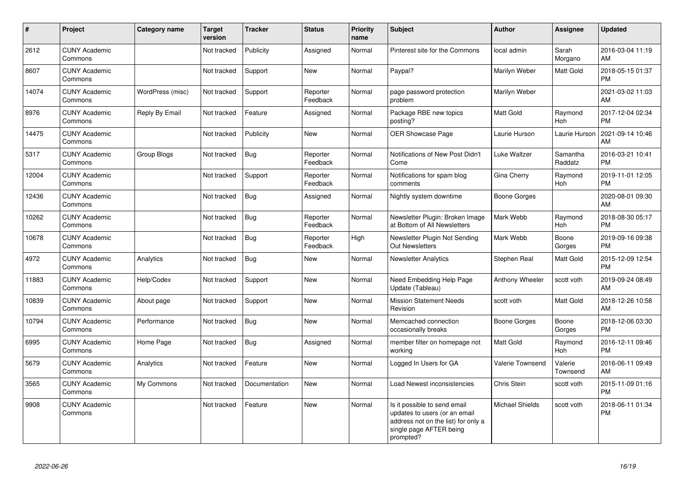| #     | Project                         | <b>Category name</b> | <b>Target</b><br>version | <b>Tracker</b> | <b>Status</b>        | <b>Priority</b><br>name | <b>Subject</b>                                                                                                                               | <b>Author</b>          | <b>Assignee</b>       | <b>Updated</b>                |
|-------|---------------------------------|----------------------|--------------------------|----------------|----------------------|-------------------------|----------------------------------------------------------------------------------------------------------------------------------------------|------------------------|-----------------------|-------------------------------|
| 2612  | <b>CUNY Academic</b><br>Commons |                      | Not tracked              | Publicity      | Assigned             | Normal                  | Pinterest site for the Commons                                                                                                               | local admin            | Sarah<br>Morgano      | 2016-03-04 11:19<br>AM        |
| 8607  | <b>CUNY Academic</b><br>Commons |                      | Not tracked              | Support        | <b>New</b>           | Normal                  | Paypal?                                                                                                                                      | Marilyn Weber          | Matt Gold             | 2018-05-15 01:37<br><b>PM</b> |
| 14074 | <b>CUNY Academic</b><br>Commons | WordPress (misc)     | Not tracked              | Support        | Reporter<br>Feedback | Normal                  | page password protection<br>problem                                                                                                          | Marilyn Weber          |                       | 2021-03-02 11:03<br>AM        |
| 8976  | <b>CUNY Academic</b><br>Commons | Reply By Email       | Not tracked              | Feature        | Assigned             | Normal                  | Package RBE new topics<br>posting?                                                                                                           | Matt Gold              | Raymond<br><b>Hoh</b> | 2017-12-04 02:34<br><b>PM</b> |
| 14475 | <b>CUNY Academic</b><br>Commons |                      | Not tracked              | Publicity      | <b>New</b>           | Normal                  | <b>OER Showcase Page</b>                                                                                                                     | Laurie Hurson          | Laurie Hurson         | 2021-09-14 10:46<br>AM        |
| 5317  | <b>CUNY Academic</b><br>Commons | <b>Group Blogs</b>   | Not tracked              | <b>Bug</b>     | Reporter<br>Feedback | Normal                  | Notifications of New Post Didn't<br>Come                                                                                                     | Luke Waltzer           | Samantha<br>Raddatz   | 2016-03-21 10:41<br><b>PM</b> |
| 12004 | <b>CUNY Academic</b><br>Commons |                      | Not tracked              | Support        | Reporter<br>Feedback | Normal                  | Notifications for spam blog<br>comments                                                                                                      | Gina Cherry            | Raymond<br>Hoh        | 2019-11-01 12:05<br><b>PM</b> |
| 12436 | <b>CUNY Academic</b><br>Commons |                      | Not tracked              | <b>Bug</b>     | Assigned             | Normal                  | Nightly system downtime                                                                                                                      | Boone Gorges           |                       | 2020-08-01 09:30<br>AM        |
| 10262 | <b>CUNY Academic</b><br>Commons |                      | Not tracked              | <b>Bug</b>     | Reporter<br>Feedback | Normal                  | Newsletter Plugin: Broken Image<br>at Bottom of All Newsletters                                                                              | Mark Webb              | Raymond<br>Hoh        | 2018-08-30 05:17<br><b>PM</b> |
| 10678 | <b>CUNY Academic</b><br>Commons |                      | Not tracked              | <b>Bug</b>     | Reporter<br>Feedback | High                    | Newsletter Plugin Not Sending<br><b>Out Newsletters</b>                                                                                      | Mark Webb              | Boone<br>Gorges       | 2019-09-16 09:38<br><b>PM</b> |
| 4972  | <b>CUNY Academic</b><br>Commons | Analytics            | Not tracked              | <b>Bug</b>     | <b>New</b>           | Normal                  | <b>Newsletter Analytics</b>                                                                                                                  | Stephen Real           | Matt Gold             | 2015-12-09 12:54<br><b>PM</b> |
| 11883 | <b>CUNY Academic</b><br>Commons | Help/Codex           | Not tracked              | Support        | <b>New</b>           | Normal                  | Need Embedding Help Page<br>Update (Tableau)                                                                                                 | Anthony Wheeler        | scott voth            | 2019-09-24 08:49<br>AM        |
| 10839 | <b>CUNY Academic</b><br>Commons | About page           | Not tracked              | Support        | <b>New</b>           | Normal                  | <b>Mission Statement Needs</b><br>Revision                                                                                                   | scott voth             | Matt Gold             | 2018-12-26 10:58<br>AM        |
| 10794 | <b>CUNY Academic</b><br>Commons | Performance          | Not tracked              | Bug            | <b>New</b>           | Normal                  | Memcached connection<br>occasionally breaks                                                                                                  | Boone Gorges           | Boone<br>Gorges       | 2018-12-06 03:30<br><b>PM</b> |
| 6995  | <b>CUNY Academic</b><br>Commons | Home Page            | Not tracked              | Bug            | Assigned             | Normal                  | member filter on homepage not<br>working                                                                                                     | Matt Gold              | Raymond<br>Hoh        | 2016-12-11 09:46<br><b>PM</b> |
| 5679  | <b>CUNY Academic</b><br>Commons | Analytics            | Not tracked              | Feature        | New                  | Normal                  | Logged In Users for GA                                                                                                                       | Valerie Townsend       | Valerie<br>Townsend   | 2016-06-11 09:49<br>AM        |
| 3565  | <b>CUNY Academic</b><br>Commons | My Commons           | Not tracked              | Documentation  | <b>New</b>           | Normal                  | Load Newest inconsistencies                                                                                                                  | Chris Stein            | scott voth            | 2015-11-09 01:16<br><b>PM</b> |
| 9908  | <b>CUNY Academic</b><br>Commons |                      | Not tracked              | Feature        | <b>New</b>           | Normal                  | Is it possible to send email<br>updates to users (or an email<br>address not on the list) for only a<br>single page AFTER being<br>prompted? | <b>Michael Shields</b> | scott voth            | 2018-06-11 01:34<br>PM        |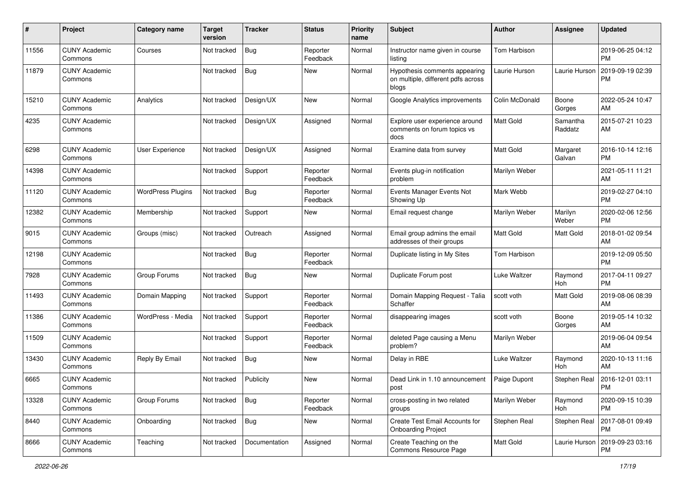| #     | Project                         | <b>Category name</b>     | <b>Target</b><br>version | <b>Tracker</b> | <b>Status</b>        | <b>Priority</b><br>name | <b>Subject</b>                                                               | Author         | <b>Assignee</b>       | <b>Updated</b>                |
|-------|---------------------------------|--------------------------|--------------------------|----------------|----------------------|-------------------------|------------------------------------------------------------------------------|----------------|-----------------------|-------------------------------|
| 11556 | <b>CUNY Academic</b><br>Commons | Courses                  | Not tracked              | Bug            | Reporter<br>Feedback | Normal                  | Instructor name given in course<br>listing                                   | Tom Harbison   |                       | 2019-06-25 04:12<br>РM        |
| 11879 | <b>CUNY Academic</b><br>Commons |                          | Not tracked              | <b>Bug</b>     | New                  | Normal                  | Hypothesis comments appearing<br>on multiple, different pdfs across<br>blogs | Laurie Hurson  | Laurie Hurson         | 2019-09-19 02:39<br><b>PM</b> |
| 15210 | <b>CUNY Academic</b><br>Commons | Analytics                | Not tracked              | Design/UX      | New                  | Normal                  | Google Analytics improvements                                                | Colin McDonald | Boone<br>Gorges       | 2022-05-24 10:47<br>AM        |
| 4235  | <b>CUNY Academic</b><br>Commons |                          | Not tracked              | Design/UX      | Assigned             | Normal                  | Explore user experience around<br>comments on forum topics vs<br>docs        | Matt Gold      | Samantha<br>Raddatz   | 2015-07-21 10:23<br>AM        |
| 6298  | <b>CUNY Academic</b><br>Commons | User Experience          | Not tracked              | Design/UX      | Assigned             | Normal                  | Examine data from survey                                                     | Matt Gold      | Margaret<br>Galvan    | 2016-10-14 12:16<br>РM        |
| 14398 | <b>CUNY Academic</b><br>Commons |                          | Not tracked              | Support        | Reporter<br>Feedback | Normal                  | Events plug-in notification<br>problem                                       | Marilyn Weber  |                       | 2021-05-11 11:21<br>AM        |
| 11120 | <b>CUNY Academic</b><br>Commons | <b>WordPress Plugins</b> | Not tracked              | Bug            | Reporter<br>Feedback | Normal                  | Events Manager Events Not<br>Showing Up                                      | Mark Webb      |                       | 2019-02-27 04:10<br><b>PM</b> |
| 12382 | <b>CUNY Academic</b><br>Commons | Membership               | Not tracked              | Support        | New                  | Normal                  | Email request change                                                         | Marilyn Weber  | Marilyn<br>Weber      | 2020-02-06 12:56<br><b>PM</b> |
| 9015  | <b>CUNY Academic</b><br>Commons | Groups (misc)            | Not tracked              | Outreach       | Assigned             | Normal                  | Email group admins the email<br>addresses of their groups                    | Matt Gold      | Matt Gold             | 2018-01-02 09:54<br>AM        |
| 12198 | <b>CUNY Academic</b><br>Commons |                          | Not tracked              | Bug            | Reporter<br>Feedback | Normal                  | Duplicate listing in My Sites                                                | Tom Harbison   |                       | 2019-12-09 05:50<br><b>PM</b> |
| 7928  | <b>CUNY Academic</b><br>Commons | Group Forums             | Not tracked              | <b>Bug</b>     | New                  | Normal                  | Duplicate Forum post                                                         | Luke Waltzer   | Raymond<br>Hoh        | 2017-04-11 09:27<br><b>PM</b> |
| 11493 | <b>CUNY Academic</b><br>Commons | Domain Mapping           | Not tracked              | Support        | Reporter<br>Feedback | Normal                  | Domain Mapping Request - Talia<br>Schaffer                                   | scott voth     | Matt Gold             | 2019-08-06 08:39<br>AM        |
| 11386 | <b>CUNY Academic</b><br>Commons | WordPress - Media        | Not tracked              | Support        | Reporter<br>Feedback | Normal                  | disappearing images                                                          | scott voth     | Boone<br>Gorges       | 2019-05-14 10:32<br>AM        |
| 11509 | <b>CUNY Academic</b><br>Commons |                          | Not tracked              | Support        | Reporter<br>Feedback | Normal                  | deleted Page causing a Menu<br>problem?                                      | Marilyn Weber  |                       | 2019-06-04 09:54<br>AM        |
| 13430 | <b>CUNY Academic</b><br>Commons | Reply By Email           | Not tracked              | <b>Bug</b>     | New                  | Normal                  | Delay in RBE                                                                 | Luke Waltzer   | Raymond<br><b>Hoh</b> | 2020-10-13 11:16<br>AM        |
| 6665  | <b>CUNY Academic</b><br>Commons |                          | Not tracked              | Publicity      | New                  | Normal                  | Dead Link in 1.10 announcement<br>post                                       | Paige Dupont   | Stephen Real          | 2016-12-01 03:11<br>PM        |
| 13328 | <b>CUNY Academic</b><br>Commons | Group Forums             | Not tracked              | Bug            | Reporter<br>Feedback | Normal                  | cross-posting in two related<br>groups                                       | Marilyn Weber  | Raymond<br>Hoh        | 2020-09-15 10:39<br>PM        |
| 8440  | <b>CUNY Academic</b><br>Commons | Onboarding               | Not tracked              | <b>Bug</b>     | New                  | Normal                  | Create Test Email Accounts for<br><b>Onboarding Project</b>                  | Stephen Real   | Stephen Real          | 2017-08-01 09:49<br><b>PM</b> |
| 8666  | <b>CUNY Academic</b><br>Commons | Teaching                 | Not tracked              | Documentation  | Assigned             | Normal                  | Create Teaching on the<br>Commons Resource Page                              | Matt Gold      | Laurie Hurson         | 2019-09-23 03:16<br>PM        |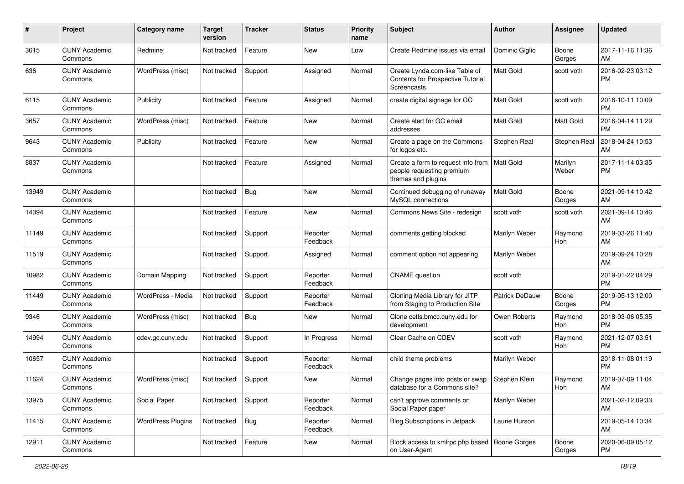| #     | Project                         | <b>Category name</b>     | Target<br>version | <b>Tracker</b> | <b>Status</b>        | <b>Priority</b><br>name | <b>Subject</b>                                                                        | <b>Author</b>         | Assignee         | <b>Updated</b>                |
|-------|---------------------------------|--------------------------|-------------------|----------------|----------------------|-------------------------|---------------------------------------------------------------------------------------|-----------------------|------------------|-------------------------------|
| 3615  | <b>CUNY Academic</b><br>Commons | Redmine                  | Not tracked       | Feature        | New                  | Low                     | Create Redmine issues via email                                                       | Dominic Giglio        | Boone<br>Gorges  | 2017-11-16 11:36<br>AM        |
| 636   | <b>CUNY Academic</b><br>Commons | WordPress (misc)         | Not tracked       | Support        | Assigned             | Normal                  | Create Lynda.com-like Table of<br>Contents for Prospective Tutorial<br>Screencasts    | Matt Gold             | scott voth       | 2016-02-23 03:12<br><b>PM</b> |
| 6115  | <b>CUNY Academic</b><br>Commons | Publicity                | Not tracked       | Feature        | Assigned             | Normal                  | create digital signage for GC                                                         | Matt Gold             | scott voth       | 2016-10-11 10:09<br><b>PM</b> |
| 3657  | <b>CUNY Academic</b><br>Commons | WordPress (misc)         | Not tracked       | Feature        | New                  | Normal                  | Create alert for GC email<br>addresses                                                | Matt Gold             | Matt Gold        | 2016-04-14 11:29<br><b>PM</b> |
| 9643  | <b>CUNY Academic</b><br>Commons | Publicity                | Not tracked       | Feature        | <b>New</b>           | Normal                  | Create a page on the Commons<br>for logos etc.                                        | Stephen Real          | Stephen Real     | 2018-04-24 10:53<br>AM        |
| 8837  | <b>CUNY Academic</b><br>Commons |                          | Not tracked       | Feature        | Assigned             | Normal                  | Create a form to request info from<br>people requesting premium<br>themes and plugins | <b>Matt Gold</b>      | Marilyn<br>Weber | 2017-11-14 03:35<br><b>PM</b> |
| 13949 | <b>CUNY Academic</b><br>Commons |                          | Not tracked       | Bug            | New                  | Normal                  | Continued debugging of runaway<br>MySQL connections                                   | <b>Matt Gold</b>      | Boone<br>Gorges  | 2021-09-14 10:42<br>AM        |
| 14394 | <b>CUNY Academic</b><br>Commons |                          | Not tracked       | Feature        | New                  | Normal                  | Commons News Site - redesign                                                          | scott voth            | scott voth       | 2021-09-14 10:46<br>AM        |
| 11149 | <b>CUNY Academic</b><br>Commons |                          | Not tracked       | Support        | Reporter<br>Feedback | Normal                  | comments getting blocked                                                              | Marilyn Weber         | Raymond<br>Hoh   | 2019-03-26 11:40<br>AM        |
| 11519 | <b>CUNY Academic</b><br>Commons |                          | Not tracked       | Support        | Assigned             | Normal                  | comment option not appearing                                                          | Marilyn Weber         |                  | 2019-09-24 10:28<br>AM        |
| 10982 | <b>CUNY Academic</b><br>Commons | Domain Mapping           | Not tracked       | Support        | Reporter<br>Feedback | Normal                  | <b>CNAME</b> question                                                                 | scott voth            |                  | 2019-01-22 04:29<br><b>PM</b> |
| 11449 | <b>CUNY Academic</b><br>Commons | WordPress - Media        | Not tracked       | Support        | Reporter<br>Feedback | Normal                  | Cloning Media Library for JITP<br>from Staging to Production Site                     | <b>Patrick DeDauw</b> | Boone<br>Gorges  | 2019-05-13 12:00<br><b>PM</b> |
| 9346  | <b>CUNY Academic</b><br>Commons | WordPress (misc)         | Not tracked       | Bug            | New                  | Normal                  | Clone cetls.bmcc.cuny.edu for<br>development                                          | Owen Roberts          | Raymond<br>Hoh   | 2018-03-06 05:35<br><b>PM</b> |
| 14994 | <b>CUNY Academic</b><br>Commons | cdev.gc.cuny.edu         | Not tracked       | Support        | In Progress          | Normal                  | Clear Cache on CDEV                                                                   | scott voth            | Raymond<br>Hoh   | 2021-12-07 03:51<br><b>PM</b> |
| 10657 | <b>CUNY Academic</b><br>Commons |                          | Not tracked       | Support        | Reporter<br>Feedback | Normal                  | child theme problems                                                                  | Marilyn Weber         |                  | 2018-11-08 01:19<br><b>PM</b> |
| 11624 | <b>CUNY Academic</b><br>Commons | WordPress (misc)         | Not tracked       | Support        | New                  | Normal                  | Change pages into posts or swap<br>database for a Commons site?                       | Stephen Klein         | Raymond<br>Hoh   | 2019-07-09 11:04<br>AM        |
| 13975 | <b>CUNY Academic</b><br>Commons | Social Paper             | Not tracked       | Support        | Reporter<br>Feedback | Normal                  | can't approve comments on<br>Social Paper paper                                       | Marilyn Weber         |                  | 2021-02-12 09:33<br>AM        |
| 11415 | <b>CUNY Academic</b><br>Commons | <b>WordPress Plugins</b> | Not tracked       | Bug            | Reporter<br>Feedback | Normal                  | Blog Subscriptions in Jetpack                                                         | Laurie Hurson         |                  | 2019-05-14 10:34<br>AM        |
| 12911 | <b>CUNY Academic</b><br>Commons |                          | Not tracked       | Feature        | New                  | Normal                  | Block access to xmlrpc.php based   Boone Gorges<br>on User-Agent                      |                       | Boone<br>Gorges  | 2020-06-09 05:12<br>PM        |